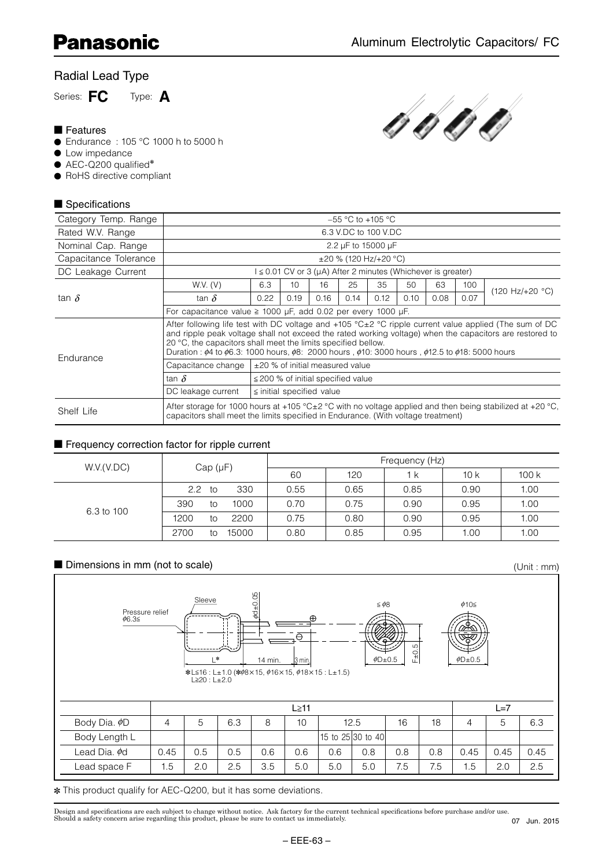# Radial Lead Type

Series: **FC** Type: **A**

#### ■ Features

- Endurance : 105 °C 1000 h to 5000 h
- Low impedance
- AEC-Q200 qualified<sup>\*</sup>
- RoHS directive compliant

# ■ Specifications



| Category Temp. Range  |                                                                                                                                                                                                                                                                                                                                                                                                                                                 |      |                                         |      |      | $-55$ °C to +105 °C                                                     |      |      |      |                                   |  |
|-----------------------|-------------------------------------------------------------------------------------------------------------------------------------------------------------------------------------------------------------------------------------------------------------------------------------------------------------------------------------------------------------------------------------------------------------------------------------------------|------|-----------------------------------------|------|------|-------------------------------------------------------------------------|------|------|------|-----------------------------------|--|
| Rated W.V. Range      |                                                                                                                                                                                                                                                                                                                                                                                                                                                 |      |                                         |      |      | 6.3 V.DC to 100 V.DC                                                    |      |      |      |                                   |  |
| Nominal Cap. Range    |                                                                                                                                                                                                                                                                                                                                                                                                                                                 |      |                                         |      |      | 2.2 µF to 15000 µF                                                      |      |      |      |                                   |  |
| Capacitance Tolerance |                                                                                                                                                                                                                                                                                                                                                                                                                                                 |      |                                         |      |      | $\pm 20$ % (120 Hz/+20 °C)                                              |      |      |      |                                   |  |
| DC Leakage Current    |                                                                                                                                                                                                                                                                                                                                                                                                                                                 |      |                                         |      |      | $I \leq 0.01$ CV or 3 ( $\mu$ A) After 2 minutes (Whichever is greater) |      |      |      |                                   |  |
|                       | W.V. (V)                                                                                                                                                                                                                                                                                                                                                                                                                                        | 6.3  | 10 <sup>1</sup>                         | 16   | 25   | 35                                                                      | 50   | 63   | 100  | $(120 \text{ Hz}/+20 \text{ °C})$ |  |
| tan $\delta$          | tan $\delta$                                                                                                                                                                                                                                                                                                                                                                                                                                    | 0.22 | 0.19                                    | 0.16 | 0.14 | 0.12                                                                    | 0.10 | 0.08 | 0.07 |                                   |  |
|                       | For capacitance value $\geq$ 1000 µF, add 0.02 per every 1000 µF.                                                                                                                                                                                                                                                                                                                                                                               |      |                                         |      |      |                                                                         |      |      |      |                                   |  |
| Endurance             | After following life test with DC voltage and +105 $^{\circ}$ C $\pm$ 2 $^{\circ}$ C ripple current value applied (The sum of DC<br>and ripple peak voltage shall not exceed the rated working voltage) when the capacitors are restored to<br>20 °C, the capacitors shall meet the limits specified bellow.<br>Duration: $\phi$ 4 to $\phi$ 6.3: 1000 hours, $\phi$ 8: 2000 hours, $\phi$ 10: 3000 hours, $\phi$ 12.5 to $\phi$ 18: 5000 hours |      |                                         |      |      |                                                                         |      |      |      |                                   |  |
|                       | Capacitance change                                                                                                                                                                                                                                                                                                                                                                                                                              |      | ±20 % of initial measured value         |      |      |                                                                         |      |      |      |                                   |  |
|                       | tan $\delta$                                                                                                                                                                                                                                                                                                                                                                                                                                    |      | $\leq$ 200 % of initial specified value |      |      |                                                                         |      |      |      |                                   |  |
|                       | DC leakage current                                                                                                                                                                                                                                                                                                                                                                                                                              |      | $\le$ initial specified value           |      |      |                                                                         |      |      |      |                                   |  |
| Shelf Life            | After storage for 1000 hours at +105 °C $\pm$ 2 °C with no voltage applied and then being stabilized at +20 °C,<br>capacitors shall meet the limits specified in Endurance. (With voltage treatment)                                                                                                                                                                                                                                            |      |                                         |      |      |                                                                         |      |      |      |                                   |  |

### ■ Frequency correction factor for ripple current

|            |                            |      |      | Frequency (Hz) |                      |      |
|------------|----------------------------|------|------|----------------|----------------------|------|
| W.V.(V.DC) | Cap(pF)                    | 60   | 120  | 1 k            | 10 k                 | 100k |
|            | 330<br>$2.2^{\circ}$<br>to | 0.55 | 0.65 | 0.85           | 0.90                 | 1.00 |
| 6.3 to 100 | 390<br>1000<br>tΟ          | 0.70 | 0.75 | 0.90           | 0.95<br>0.95<br>1.00 | 1.00 |
|            | 1200<br>2200<br>to         | 0.75 | 0.80 | 0.90           |                      | 1.00 |
|            | 2700<br>15000<br>to        | 0.80 | 0.85 | 0.95           |                      | 1.00 |

# ■ Dimensions in mm (not to scale) (Unit: mm)

Sleeve  $\begin{bmatrix} 0 \\ 0 \\ 1 \end{bmatrix}$   $\leq \phi$ 8  $\phi$ 10  $L^*$  14 min.  $\frac{1}{3}$  min Pressure relief  $\phi$ 6.3 \*L≦16 : L±1.0 (\*¢8×15, ¢16×15, ¢18×15 : L±1.5)<br>|L≧20 : L±2.0  $\oplus$ –  $\leq \phi$ 8  $\phi$ D $\pm$ 0.5  $F_{\pm 0.5}$  $\phi$ D $\pm$ 0.5  $\phi$ d $\pm$ 0.05  $\mathsf{L}\geq 11$   $\mathsf{L}=7$ Body Dia.  $\phi$ D 4 5 6.3 8 10 12.5 16 18 4 5 6.3 Body Length L 15 to 25 30 to 40 Lead Dia. ¢d | 0.45 | 0.5 | 0.5 | 0.6 | 0.6 | 0.6 | 0.8 | 0.8 | 0.8 | 0.45 | 0.45 | 0.45 Lead space F | 1.5 | 2.0 | 2.5 | 3.5 | 5.0 | 5.0 | 7.6 | 7.5 | 1.5 | 2.0 | 2.5

✽ This product qualify for AEC-Q200, but it has some deviations.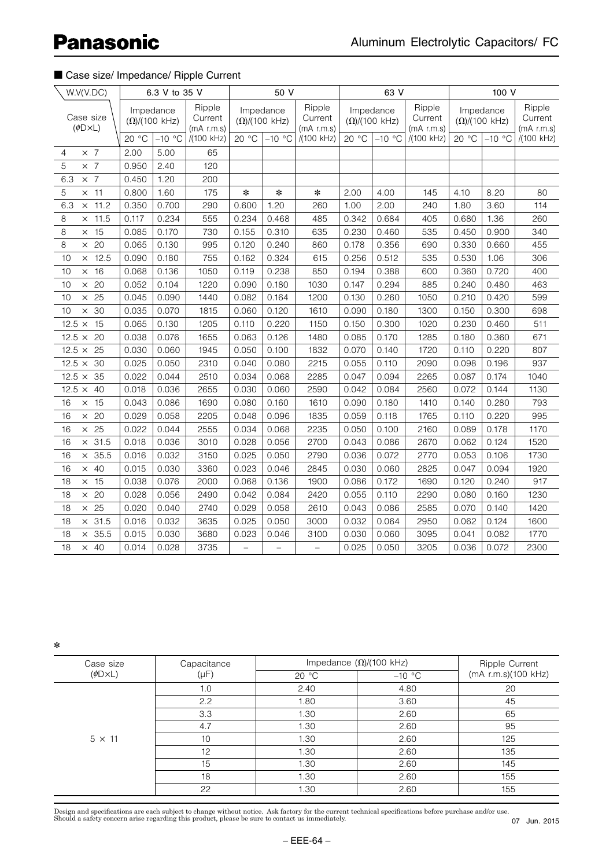# **Panasonic**

## ■ Case size/ Impedance/ Ripple Current

| W.V(V.DC)                                     |       | 6.3 V to 35 V                       |                                   |                          | 50 V                     |                                   |                        | 63 V      |                                   |       | 100 V                               |                                 |
|-----------------------------------------------|-------|-------------------------------------|-----------------------------------|--------------------------|--------------------------|-----------------------------------|------------------------|-----------|-----------------------------------|-------|-------------------------------------|---------------------------------|
| Case size<br>$(\phi\text{D} \times \text{L})$ |       | Impedance<br>$(\Omega) / (100$ kHz) | Ripple<br>Current<br>$(mA$ r.m.s) | $(\Omega) / (100$ kHz)   | Impedance                | Ripple<br>Current<br>$(mA$ r.m.s) | $(\Omega) / (100$ kHz) | Impedance | Ripple<br>Current<br>$(mA$ r.m.s) |       | Impedance<br>$(\Omega) / (100$ kHz) | Ripple<br>Current<br>(mA r.m.s) |
|                                               | 20 °C | $-10$ °C                            | /(100 kHz)                        | 20 °C                    | $-10$ °C                 | /(100 kHz)                        | 20 °C                  | $-10$ °C  | /(100 kHz)                        | 20 °C | $-10$ °C                            | /(100 kHz)                      |
| $\times$ 7<br>$\overline{4}$                  | 2.00  | 5.00                                | 65                                |                          |                          |                                   |                        |           |                                   |       |                                     |                                 |
| 5<br>$\times$ 7                               | 0.950 | 2.40                                | 120                               |                          |                          |                                   |                        |           |                                   |       |                                     |                                 |
| $\times$ 7<br>6.3                             | 0.450 | 1.20                                | 200                               |                          |                          |                                   |                        |           |                                   |       |                                     |                                 |
| 5<br>$\times$ 11                              | 0.800 | 1.60                                | 175                               | $\ast$                   | $\ast$                   | $\ast$                            | 2.00                   | 4.00      | 145                               | 4.10  | 8.20                                | 80                              |
| 6.3<br>$\times$ 11.2                          | 0.350 | 0.700                               | 290                               | 0.600                    | 1.20                     | 260                               | 1.00                   | 2.00      | 240                               | 1.80  | 3.60                                | 114                             |
| 8<br>$\times$ 11.5                            | 0.117 | 0.234                               | 555                               | 0.234                    | 0.468                    | 485                               | 0.342                  | 0.684     | 405                               | 0.680 | 1.36                                | 260                             |
| 8<br>$\times$ 15                              | 0.085 | 0.170                               | 730                               | 0.155                    | 0.310                    | 635                               | 0.230                  | 0.460     | 535                               | 0.450 | 0.900                               | 340                             |
| $\times$ 20<br>8                              | 0.065 | 0.130                               | 995                               | 0.120                    | 0.240                    | 860                               | 0.178                  | 0.356     | 690                               | 0.330 | 0.660                               | 455                             |
| $\times$ 12.5<br>10                           | 0.090 | 0.180                               | 755                               | 0.162                    | 0.324                    | 615                               | 0.256                  | 0.512     | 535                               | 0.530 | 1.06                                | 306                             |
| $\times$ 16<br>10                             | 0.068 | 0.136                               | 1050                              | 0.119                    | 0.238                    | 850                               | 0.194                  | 0.388     | 600                               | 0.360 | 0.720                               | 400                             |
| $\times$ 20<br>10                             | 0.052 | 0.104                               | 1220                              | 0.090                    | 0.180                    | 1030                              | 0.147                  | 0.294     | 885                               | 0.240 | 0.480                               | 463                             |
| $\times$ 25<br>10                             | 0.045 | 0.090                               | 1440                              | 0.082                    | 0.164                    | 1200                              | 0.130                  | 0.260     | 1050                              | 0.210 | 0.420                               | 599                             |
| $\times$ 30<br>10                             | 0.035 | 0.070                               | 1815                              | 0.060                    | 0.120                    | 1610                              | 0.090                  | 0.180     | 1300                              | 0.150 | 0.300                               | 698                             |
| 15<br>12.5 $\times$                           | 0.065 | 0.130                               | 1205                              | 0.110                    | 0.220                    | 1150                              | 0.150                  | 0.300     | 1020                              | 0.230 | 0.460                               | 511                             |
| $12.5 \times 20$                              | 0.038 | 0.076                               | 1655                              | 0.063                    | 0.126                    | 1480                              | 0.085                  | 0.170     | 1285                              | 0.180 | 0.360                               | 671                             |
| $12.5 \times 25$                              | 0.030 | 0.060                               | 1945                              | 0.050                    | 0.100                    | 1832                              | 0.070                  | 0.140     | 1720                              | 0.110 | 0.220                               | 807                             |
| $12.5 \times 30$                              | 0.025 | 0.050                               | 2310                              | 0.040                    | 0.080                    | 2215                              | 0.055                  | 0.110     | 2090                              | 0.098 | 0.196                               | 937                             |
| $12.5 \times 35$                              | 0.022 | 0.044                               | 2510                              | 0.034                    | 0.068                    | 2285                              | 0.047                  | 0.094     | 2265                              | 0.087 | 0.174                               | 1040                            |
| $12.5 \times 40$                              | 0.018 | 0.036                               | 2655                              | 0.030                    | 0.060                    | 2590                              | 0.042                  | 0.084     | 2560                              | 0.072 | 0.144                               | 1130                            |
| $\times$ 15<br>16                             | 0.043 | 0.086                               | 1690                              | 0.080                    | 0.160                    | 1610                              | 0.090                  | 0.180     | 1410                              | 0.140 | 0.280                               | 793                             |
| $\times$ 20<br>16                             | 0.029 | 0.058                               | 2205                              | 0.048                    | 0.096                    | 1835                              | 0.059                  | 0.118     | 1765                              | 0.110 | 0.220                               | 995                             |
| $\times$ 25<br>16                             | 0.022 | 0.044                               | 2555                              | 0.034                    | 0.068                    | 2235                              | 0.050                  | 0.100     | 2160                              | 0.089 | 0.178                               | 1170                            |
| $\times$ 31.5<br>16                           | 0.018 | 0.036                               | 3010                              | 0.028                    | 0.056                    | 2700                              | 0.043                  | 0.086     | 2670                              | 0.062 | 0.124                               | 1520                            |
| $\times$ 35.5<br>16                           | 0.016 | 0.032                               | 3150                              | 0.025                    | 0.050                    | 2790                              | 0.036                  | 0.072     | 2770                              | 0.053 | 0.106                               | 1730                            |
| $\times$ 40<br>16                             | 0.015 | 0.030                               | 3360                              | 0.023                    | 0.046                    | 2845                              | 0.030                  | 0.060     | 2825                              | 0.047 | 0.094                               | 1920                            |
| $\times$ 15<br>18                             | 0.038 | 0.076                               | 2000                              | 0.068                    | 0.136                    | 1900                              | 0.086                  | 0.172     | 1690                              | 0.120 | 0.240                               | 917                             |
| $\times$ 20<br>18                             | 0.028 | 0.056                               | 2490                              | 0.042                    | 0.084                    | 2420                              | 0.055                  | 0.110     | 2290                              | 0.080 | 0.160                               | 1230                            |
| $\times$ 25<br>18                             | 0.020 | 0.040                               | 2740                              | 0.029                    | 0.058                    | 2610                              | 0.043                  | 0.086     | 2585                              | 0.070 | 0.140                               | 1420                            |
| $\times$ 31.5<br>18                           | 0.016 | 0.032                               | 3635                              | 0.025                    | 0.050                    | 3000                              | 0.032                  | 0.064     | 2950                              | 0.062 | 0.124                               | 1600                            |
| $\times$ 35.5<br>18                           | 0.015 | 0.030                               | 3680                              | 0.023                    | 0.046                    | 3100                              | 0.030                  | 0.060     | 3095                              | 0.041 | 0.082                               | 1770                            |
| 18<br>$\times$ 40                             | 0.014 | 0.028                               | 3735                              | $\overline{\phantom{0}}$ | $\overline{\phantom{0}}$ | $\equiv$                          | 0.025                  | 0.050     | 3205                              | 0.036 | 0.072                               | 2300                            |

✽

| Case size                | Capacitance |       | Impedance $(\Omega)/(100 \text{ kHz})$ | Ripple Current      |
|--------------------------|-------------|-------|----------------------------------------|---------------------|
| $(\phi\Box \times \Box)$ | (µF)        | 20 °C | $-10$ °C                               | (mA r.m.s)(100 kHz) |
|                          | 1.0         | 2.40  | 4.80                                   | 20                  |
|                          | 2.2         | 1.80  | 3.60                                   | 45                  |
|                          | 3.3         | 1.30  | 2.60                                   | 65                  |
|                          | 4.7         | 1.30  | 2.60                                   | 95                  |
| $5 \times 11$            | 10          | 1.30  | 2.60                                   | 125                 |
|                          | 12          | 1.30  | 2.60                                   | 135                 |
|                          | 15          | 1.30  | 2.60                                   | 145                 |
|                          | 18          | 1.30  | 2.60                                   | 155                 |
|                          | 22          | 1.30  | 2.60                                   | 155                 |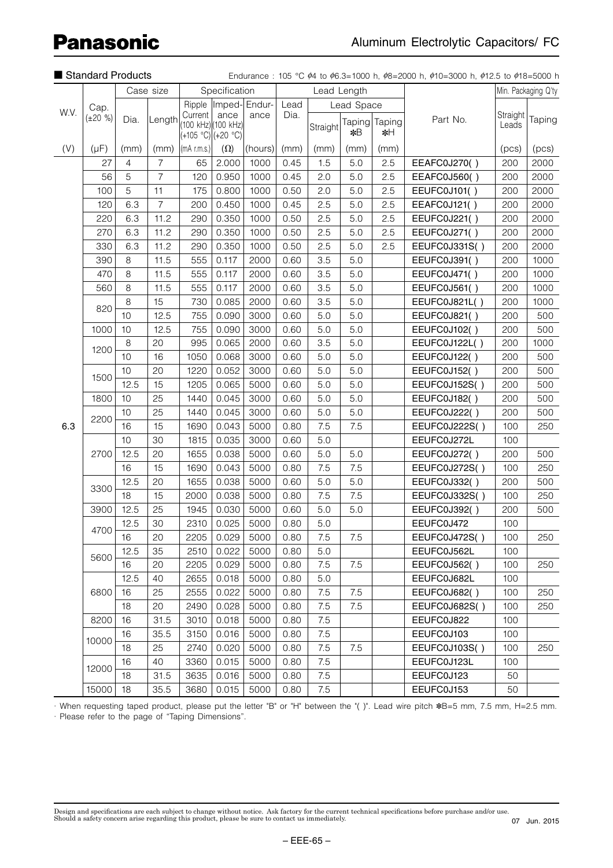|      | Standard Products<br>Case size |         |                |                                                       |               |                       |      |             |              |              | Endurance: 105 °C $\phi$ 4 to $\phi$ 6.3=1000 h, $\phi$ 8=2000 h, $\phi$ 10=3000 h, $\phi$ 12.5 to $\phi$ 18=5000 h |                                                                                                                                                                                                                                         |        |
|------|--------------------------------|---------|----------------|-------------------------------------------------------|---------------|-----------------------|------|-------------|--------------|--------------|---------------------------------------------------------------------------------------------------------------------|-----------------------------------------------------------------------------------------------------------------------------------------------------------------------------------------------------------------------------------------|--------|
|      |                                |         |                |                                                       | Specification |                       |      | Lead Length |              |              |                                                                                                                     |                                                                                                                                                                                                                                         |        |
|      | Cap.                           |         |                |                                                       |               | Ripple  Imped- Endur- | Lead |             | Lead Space   |              |                                                                                                                     |                                                                                                                                                                                                                                         |        |
| W.V. | $(\pm 20 \%)$                  | Dia.    | Length         | Current<br>(100 kHz) (100 kHz)<br>$(+105 °C)(+20 °C)$ | ance          | ance                  | Dia. | Straight    | Taping<br>*B | Taping<br>∗Η | Part No.                                                                                                            | Min. Packaging Q'ty<br>Straight<br>Leads<br>(pcs)<br>200<br>200<br>200<br>200<br>200<br>200<br>200<br>200<br>200<br>200<br>200<br>200<br>200<br>200<br>200<br>200<br>200<br>200<br>200<br>100<br>100<br>200<br>100<br>200<br>100<br>200 | Taping |
| (V)  | $(\mu F)$                      | (mm)    | (mm)           | $(mA$ r.m.s.)                                         | $(\Omega)$    | (hours)               | (mm) | (mm)        | (mm)         | (mm)         |                                                                                                                     |                                                                                                                                                                                                                                         | (pcs)  |
|      | 27                             | 4       | $\overline{7}$ | 65                                                    | 2.000         | 1000                  | 0.45 | 1.5         | 5.0          | 2.5          | EEAFC0J270()                                                                                                        |                                                                                                                                                                                                                                         | 2000   |
|      | 56                             | 5       | $\overline{7}$ | 120                                                   | 0.950         | 1000                  | 0.45 | 2.0         | 5.0          | 2.5          | EEAFC0J560()                                                                                                        |                                                                                                                                                                                                                                         | 2000   |
|      | 100                            | 5       | 11             | 175                                                   | 0.800         | 1000                  | 0.50 | 2.0         | 5.0          | 2.5          | EEUFC0J101()                                                                                                        |                                                                                                                                                                                                                                         | 2000   |
|      | 120                            | 6.3     | $\overline{7}$ | 200                                                   | 0.450         | 1000                  | 0.45 | 2.5         | 5.0          | 2.5          | EEAFC0J121()                                                                                                        |                                                                                                                                                                                                                                         | 2000   |
|      | 220                            | 6.3     | 11.2           | 290                                                   | 0.350         | 1000                  | 0.50 | 2.5         | 5.0          | 2.5          | EEUFC0J221()                                                                                                        |                                                                                                                                                                                                                                         | 2000   |
|      | 270                            | 6.3     | 11.2           | 290                                                   | 0.350         | 1000                  | 0.50 | 2.5         | 5.0          | 2.5          | EEUFC0J271()                                                                                                        |                                                                                                                                                                                                                                         | 2000   |
|      | 330                            | 6.3     | 11.2           | 290                                                   | 0.350         | 1000                  | 0.50 | 2.5         | 5.0          | 2.5          | EEUFC0J331S()                                                                                                       |                                                                                                                                                                                                                                         | 2000   |
|      | 390                            | 8       | 11.5           | 555                                                   | 0.117         | 2000                  | 0.60 | 3.5         | 5.0          |              | EEUFC0J391()                                                                                                        |                                                                                                                                                                                                                                         | 1000   |
|      | 470                            | 8       | 11.5           | 555                                                   | 0.117         | 2000                  | 0.60 | 3.5         | 5.0          |              | EEUFC0J471()                                                                                                        |                                                                                                                                                                                                                                         | 1000   |
|      | 560                            | $\,8\,$ | 11.5           | 555                                                   | 0.117         | 2000                  | 0.60 | 3.5         | 5.0          |              | EEUFC0J561()                                                                                                        |                                                                                                                                                                                                                                         | 1000   |
|      |                                | 8       | 15             | 730                                                   | 0.085         | 2000                  | 0.60 | 3.5         | 5.0          |              | EEUFC0J821L()                                                                                                       |                                                                                                                                                                                                                                         | 1000   |
|      | 820                            | 10      | 12.5           | 755                                                   | 0.090         | 3000                  | 0.60 | 5.0         | 5.0          |              | EEUFC0J821()                                                                                                        |                                                                                                                                                                                                                                         | 500    |
|      | 1000                           | 10      | 12.5           | 755                                                   | 0.090         | 3000                  | 0.60 | 5.0         | $5.0\,$      |              | EEUFC0J102()                                                                                                        |                                                                                                                                                                                                                                         | 500    |
| 6.3  |                                | 8       | 20             | 995                                                   | 0.065         | 2000                  | 0.60 | 3.5         | 5.0          |              | EEUFC0J122L()                                                                                                       |                                                                                                                                                                                                                                         | 1000   |
|      | 1200                           | 10      | 16             | 1050                                                  | 0.068         | 3000                  | 0.60 | 5.0         | 5.0          |              | EEUFC0J122()                                                                                                        |                                                                                                                                                                                                                                         | 500    |
|      |                                | 10      | 20             | 1220                                                  | 0.052         | 3000                  | 0.60 | 5.0         | 5.0          |              | EEUFC0J152()                                                                                                        |                                                                                                                                                                                                                                         | 500    |
|      | 1500                           | 12.5    | 15             | 1205                                                  | 0.065         | 5000                  | 0.60 | 5.0         | 5.0          |              | EEUFC0J152S()                                                                                                       |                                                                                                                                                                                                                                         | 500    |
|      | 1800                           | 10      | 25             | 1440                                                  | 0.045         | 3000                  | 0.60 | 5.0         | 5.0          |              | EEUFC0J182()                                                                                                        |                                                                                                                                                                                                                                         | 500    |
|      |                                | 10      | 25             | 1440                                                  | 0.045         | 3000                  | 0.60 | 5.0         | 5.0          |              | EEUFC0J222()                                                                                                        |                                                                                                                                                                                                                                         | 500    |
|      | 2200                           | 16      | 15             | 1690                                                  | 0.043         | 5000                  | 0.80 | 7.5         | 7.5          |              | EEUFC0J222S()                                                                                                       |                                                                                                                                                                                                                                         | 250    |
|      |                                | 10      | 30             | 1815                                                  | 0.035         | 3000                  | 0.60 | 5.0         |              |              | EEUFC0J272L                                                                                                         |                                                                                                                                                                                                                                         |        |
|      | 2700                           | 12.5    | 20             | 1655                                                  | 0.038         | 5000                  | 0.60 | 5.0         | 5.0          |              | EEUFC0J272()                                                                                                        |                                                                                                                                                                                                                                         | 500    |
|      |                                | 16      | 15             | 1690                                                  | 0.043         | 5000                  | 0.80 | 7.5         | 7.5          |              | EEUFC0J272S()                                                                                                       |                                                                                                                                                                                                                                         | 250    |
|      |                                | 12.5    | 20             | 1655                                                  | 0.038         | 5000                  | 0.60 | 5.0         | 5.0          |              | EEUFC0J332()                                                                                                        |                                                                                                                                                                                                                                         | 500    |
|      | 3300                           | 18      | 15             | 2000                                                  | 0.038         | 5000                  | 0.80 | 7.5         | 7.5          |              | EEUFC0J332S()                                                                                                       |                                                                                                                                                                                                                                         | 250    |
|      | 3900                           | 12.5    | 25             | 1945                                                  | 0.030         | 5000                  | 0.60 | 5.0         | 5.0          |              | EEUFC0J392()                                                                                                        |                                                                                                                                                                                                                                         | 500    |
|      |                                | 12.5    | 30             | 2310                                                  | 0.025         | 5000                  | 0.80 | 5.0         |              |              | EEUFC0J472                                                                                                          | 100                                                                                                                                                                                                                                     |        |
|      | 4700                           | 16      | 20             | 2205                                                  | 0.029         | 5000                  | 0.80 | 7.5         | 7.5          |              | EEUFC0J472S()                                                                                                       | 100                                                                                                                                                                                                                                     | 250    |
|      |                                | 12.5    | 35             | 2510                                                  | 0.022         | 5000                  | 0.80 | 5.0         |              |              | EEUFC0J562L                                                                                                         | 100                                                                                                                                                                                                                                     |        |
|      | 5600                           | 16      | 20             | 2205                                                  | 0.029         | 5000                  | 0.80 | 7.5         | 7.5          |              | EEUFC0J562()                                                                                                        | 100                                                                                                                                                                                                                                     | 250    |
|      |                                | 12.5    | 40             | 2655                                                  | 0.018         | 5000                  | 0.80 | 5.0         |              |              | EEUFC0J682L                                                                                                         | 100                                                                                                                                                                                                                                     |        |
|      | 6800                           | 16      | 25             | 2555                                                  | 0.022         | 5000                  | 0.80 | 7.5         | 7.5          |              | EEUFC0J682()                                                                                                        | 100                                                                                                                                                                                                                                     | 250    |
|      |                                | 18      | 20             | 2490                                                  | 0.028         | 5000                  | 0.80 | 7.5         | 7.5          |              | EEUFC0J682S()                                                                                                       | 100                                                                                                                                                                                                                                     | 250    |
|      | 8200                           | 16      | 31.5           | 3010                                                  | 0.018         | 5000                  | 0.80 | 7.5         |              |              | EEUFC0J822                                                                                                          | 100                                                                                                                                                                                                                                     |        |
|      |                                | 16      | 35.5           | 3150                                                  | 0.016         | 5000                  | 0.80 | 7.5         |              |              | EEUFC0J103                                                                                                          | 100                                                                                                                                                                                                                                     |        |
|      | 10000                          | 18      | 25             | 2740                                                  | 0.020         | 5000                  | 0.80 | 7.5         | 7.5          |              | EEUFC0J103S()                                                                                                       | 100                                                                                                                                                                                                                                     | 250    |
|      |                                | 16      | 40             | 3360                                                  | 0.015         | 5000                  | 0.80 | 7.5         |              |              | EEUFC0J123L                                                                                                         | 100                                                                                                                                                                                                                                     |        |
|      | 12000                          | 18      | 31.5           | 3635                                                  | 0.016         | 5000                  | 0.80 | 7.5         |              |              | EEUFC0J123                                                                                                          | 50                                                                                                                                                                                                                                      |        |
|      | 15000                          | 18      | 35.5           | 3680                                                  | 0.015         | 5000                  | 0.80 | $7.5\,$     |              |              | EEUFC0J153                                                                                                          | 50                                                                                                                                                                                                                                      |        |

· When requesting taped product, please put the letter "B" or "H" between the "( )". Lead wire pitch  $*B=5$  mm, 7.5 mm, H=2.5 mm. · Please refer to the page of "Taping Dimensions".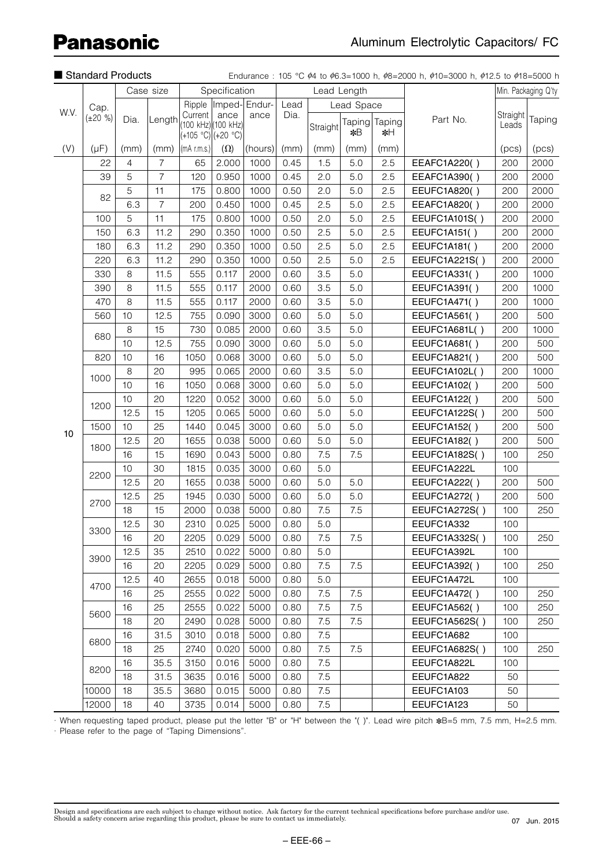|                   | Standard Products<br>Case size |      |                                                                                                                                                                                                                                          |                                                       |               |                       |      |             |              |              | Endurance: 105 °C $\phi$ 4 to $\phi$ 6.3=1000 h, $\phi$ 8=2000 h, $\phi$ 10=3000 h, $\phi$ 12.5 to $\phi$ 18=5000 h |                   |                     |
|-------------------|--------------------------------|------|------------------------------------------------------------------------------------------------------------------------------------------------------------------------------------------------------------------------------------------|-------------------------------------------------------|---------------|-----------------------|------|-------------|--------------|--------------|---------------------------------------------------------------------------------------------------------------------|-------------------|---------------------|
|                   |                                |      |                                                                                                                                                                                                                                          |                                                       | Specification |                       |      | Lead Length |              |              |                                                                                                                     |                   | Min. Packaging Q'ty |
| W.V.<br>(V)<br>10 | Cap.                           |      |                                                                                                                                                                                                                                          |                                                       |               | Ripple  Imped- Endur- | Lead |             | Lead Space   |              |                                                                                                                     |                   |                     |
|                   | $(\pm 20 \%)$                  | Dia. | Length                                                                                                                                                                                                                                   | Current<br>(100 kHz) (100 kHz)<br>$(+105 °C)(+20 °C)$ | ance          | ance                  | Dia. | Straight    | Taping<br>*B | Taping<br>∗Η | Part No.                                                                                                            | Straight<br>Leads | Taping              |
|                   | $(\mu F)$                      | (mm) | (mm)                                                                                                                                                                                                                                     | $\vert$ (mA r.m.s.) $\vert$                           | $(\Omega)$    | (hours)               | (mm) | (mm)        | (mm)         | (mm)         |                                                                                                                     | (pcs)             | (pcs)               |
|                   | 22                             | 4    | $\overline{7}$                                                                                                                                                                                                                           | 65                                                    | 2.000         | 1000                  | 0.45 | 1.5         | 5.0          | 2.5          | EEAFC1A220()                                                                                                        | 200               | 2000                |
|                   | 39                             | 5    | $\overline{7}$                                                                                                                                                                                                                           | 120                                                   | 0.950         | 1000                  | 0.45 | 2.0         | 5.0          | 2.5          | EEAFC1A390()                                                                                                        | 200               | 2000                |
|                   |                                | 5    | 11                                                                                                                                                                                                                                       | 175                                                   | 0.800         | 1000                  | 0.50 | 2.0         | 5.0          | 2.5          | EEUFC1A820()                                                                                                        | 200               | 2000                |
|                   | 82                             | 6.3  | $\overline{7}$                                                                                                                                                                                                                           | 200                                                   | 0.450         | 1000                  | 0.45 | 2.5         | 5.0          | 2.5          | EEAFC1A820()                                                                                                        | 200               | 2000                |
|                   | 100                            | 5    | 11                                                                                                                                                                                                                                       | 175                                                   | 0.800         | 1000                  | 0.50 | 2.0         | 5.0          | 2.5          | EEUFC1A101S()                                                                                                       | 200               | 2000                |
|                   | 150                            | 6.3  | 11.2                                                                                                                                                                                                                                     | 290                                                   | 0.350         | 1000                  | 0.50 | 2.5         | 5.0          | 2.5          | <b>EEUFC1A151()</b>                                                                                                 | 200               | 2000                |
|                   | 180                            | 6.3  | 11.2                                                                                                                                                                                                                                     | 290                                                   | 0.350         | 1000                  | 0.50 | 2.5         | 5.0          | 2.5          | EEUFC1A181()                                                                                                        | 200               | 2000                |
|                   | 220                            | 6.3  | 11.2                                                                                                                                                                                                                                     | 290                                                   | 0.350         | 1000                  | 0.50 | 2.5         | 5.0          | 2.5          | EEUFC1A221S()                                                                                                       | 200               | 2000                |
|                   | 330                            | 8    | 11.5                                                                                                                                                                                                                                     | 555                                                   | 0.117         | 2000                  | 0.60 | 3.5         | 5.0          |              | EEUFC1A331()                                                                                                        | 200               | 1000                |
|                   | 390                            | 8    | 11.5                                                                                                                                                                                                                                     | 555                                                   | 0.117         | 2000                  | 0.60 | 3.5         | 5.0          |              | EEUFC1A391()                                                                                                        | 200               | 1000                |
|                   | 470                            | 8    | 11.5                                                                                                                                                                                                                                     | 555                                                   | 0.117         | 2000                  | 0.60 | 3.5         | 5.0          |              | EEUFC1A471()                                                                                                        | 200               | 1000                |
|                   | 560                            | 10   | 12.5                                                                                                                                                                                                                                     | 755                                                   | 0.090         | 3000                  | 0.60 | 5.0         | 5.0          |              | EEUFC1A561()                                                                                                        | 200               | 500                 |
|                   | 680                            | 8    | 15                                                                                                                                                                                                                                       | 730                                                   | 0.085         | 2000                  | 0.60 | 3.5         | 5.0          |              | EEUFC1A681L()                                                                                                       | 200               | 1000                |
|                   |                                | 10   | 12.5                                                                                                                                                                                                                                     | 755                                                   | 0.090         | 3000                  | 0.60 | 5.0         | 5.0          |              | EEUFC1A681()                                                                                                        | 200               | 500                 |
|                   | 820                            | 10   | 16                                                                                                                                                                                                                                       | 1050                                                  | 0.068         | 3000                  | 0.60 | 5.0         | 5.0          |              | EEUFC1A821()                                                                                                        | 200               | 500                 |
|                   | 1000                           | 8    | 20                                                                                                                                                                                                                                       | 995                                                   | 0.065         | 2000                  | 0.60 | 3.5         | 5.0          |              | EEUFC1A102L()                                                                                                       | 200               | 1000                |
|                   |                                | 10   | 16                                                                                                                                                                                                                                       | 1050                                                  | 0.068         | 3000                  | 0.60 | 5.0         | 5.0          |              | EEUFC1A102()                                                                                                        | 200               | 500                 |
|                   | 1200                           | 10   | 1220<br>0.052<br>0.60<br>5.0<br>20<br>3000<br>5.0<br><b>EEUFC1A122()</b><br>200<br>15<br>1205<br>0.065<br>0.60<br>5.0<br>EEUFC1A122S()<br>5000<br>5.0<br>200<br>25<br>0.045<br>0.60<br>5.0<br>1440<br>3000<br>5.0<br>EEUFC1A152()<br>200 | 500                                                   |               |                       |      |             |              |              |                                                                                                                     |                   |                     |
|                   |                                | 12.5 |                                                                                                                                                                                                                                          |                                                       |               |                       |      |             |              |              |                                                                                                                     |                   | 500                 |
|                   | 1500                           | 10   |                                                                                                                                                                                                                                          |                                                       |               |                       |      |             |              |              |                                                                                                                     |                   | 500                 |
|                   | 1800                           | 12.5 | 20                                                                                                                                                                                                                                       | 1655                                                  | 0.038         | 5000                  | 0.60 | 5.0         | $5.0$        |              | EEUFC1A182()                                                                                                        | 200               | 500                 |
|                   |                                | 16   | 15                                                                                                                                                                                                                                       | 1690                                                  | 0.043         | 5000                  | 0.80 | 7.5         | 7.5          |              | EEUFC1A182S()                                                                                                       | 100               | 250                 |
|                   | 2200                           | 10   | 30                                                                                                                                                                                                                                       | 1815                                                  | 0.035         | 3000                  | 0.60 | 5.0         |              |              | EEUFC1A222L                                                                                                         | 100               |                     |
|                   |                                | 12.5 | 20                                                                                                                                                                                                                                       | 1655                                                  | 0.038         | 5000                  | 0.60 | 5.0         | 5.0          |              | EEUFC1A222()                                                                                                        | 200               | 500                 |
|                   | 2700                           | 12.5 | 25                                                                                                                                                                                                                                       | 1945                                                  | 0.030         | 5000                  | 0.60 | 5.0         | $5.0$        |              | EEUFC1A272()                                                                                                        | 200               | 500                 |
|                   |                                | 18   | 15                                                                                                                                                                                                                                       | 2000                                                  | 0.038         | 5000                  | 0.80 | 7.5         | 7.5          |              | EEUFC1A272S()                                                                                                       | 100               | 250                 |
|                   | 3300                           | 12.5 | 30                                                                                                                                                                                                                                       | 2310                                                  | 0.025         | 5000                  | 0.80 | 5.0         |              |              | EEUFC1A332                                                                                                          | 100               |                     |
|                   |                                | 16   | 20                                                                                                                                                                                                                                       | 2205                                                  | 0.029         | 5000                  | 0.80 | 7.5         | 7.5          |              | EEUFC1A332S()                                                                                                       | 100               | 250                 |
|                   | 3900                           | 12.5 | 35                                                                                                                                                                                                                                       | 2510                                                  | 0.022         | 5000                  | 0.80 | 5.0         |              |              | EEUFC1A392L                                                                                                         | 100               |                     |
|                   |                                | 16   | 20                                                                                                                                                                                                                                       | 2205                                                  | 0.029         | 5000                  | 0.80 | 7.5         | 7.5          |              | EEUFC1A392()                                                                                                        | 100               | 250                 |
|                   | 4700                           | 12.5 | 40                                                                                                                                                                                                                                       | 2655                                                  | 0.018         | 5000                  | 0.80 | 5.0         |              |              | EEUFC1A472L                                                                                                         | 100               |                     |
|                   |                                | 16   | 25                                                                                                                                                                                                                                       | 2555                                                  | 0.022         | 5000                  | 0.80 | 7.5         | 7.5          |              | EEUFC1A472()                                                                                                        | 100               | 250                 |
|                   | 5600                           | 16   | 25                                                                                                                                                                                                                                       | 2555                                                  | 0.022         | 5000                  | 0.80 | 7.5         | 7.5          |              | EEUFC1A562()                                                                                                        | 100               | 250                 |
|                   |                                | 18   | 20                                                                                                                                                                                                                                       | 2490                                                  | 0.028         | 5000                  | 0.80 | 7.5         | 7.5          |              | EEUFC1A562S()                                                                                                       | 100               | 250                 |
|                   | 6800                           | 16   | 31.5                                                                                                                                                                                                                                     | 3010                                                  | 0.018         | 5000                  | 0.80 | 7.5         |              |              | EEUFC1A682                                                                                                          | 100               |                     |
|                   |                                | 18   | 25                                                                                                                                                                                                                                       | 2740                                                  | 0.020         | 5000                  | 0.80 | 7.5         | 7.5          |              | EEUFC1A682S()                                                                                                       | 100               | 250                 |
|                   | 8200                           | 16   | 35.5                                                                                                                                                                                                                                     | 3150                                                  | 0.016         | 5000                  | 0.80 | 7.5         |              |              | EEUFC1A822L                                                                                                         | 100               |                     |
|                   |                                | 18   | 31.5                                                                                                                                                                                                                                     | 3635                                                  | 0.016         | 5000                  | 0.80 | 7.5         |              |              | EEUFC1A822                                                                                                          | 50                |                     |
|                   | 10000                          | 18   | 35.5                                                                                                                                                                                                                                     | 3680                                                  | 0.015         | 5000                  | 0.80 | 7.5         |              |              | EEUFC1A103                                                                                                          | 50                |                     |
|                   | 12000                          | 18   | 40                                                                                                                                                                                                                                       | 3735                                                  | 0.014         | 5000                  | 0.80 | 7.5         |              |              | EEUFC1A123                                                                                                          | 50                |                     |

· When requesting taped product, please put the letter "B" or "H" between the "( )". Lead wire pitch ∗B=5 mm, 7.5 mm, H=2.5 mm. · Please refer to the page of "Taping Dimensions".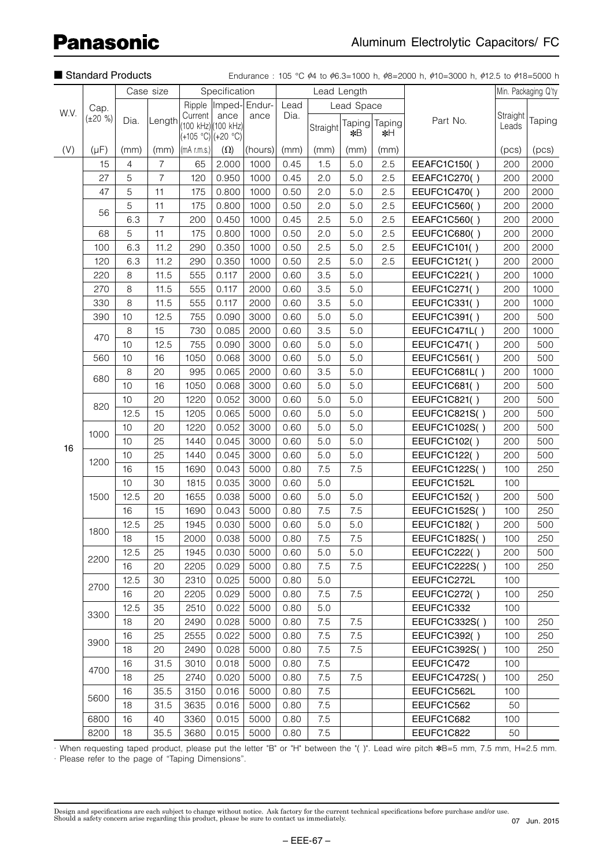|      | Standard Products<br>Case size |                |                                                                                                                        |             |                                                   |                       |                                                                                                                                                                                                                                                                                                              |          |                |              | Endurance: 105 °C $\phi$ 4 to $\phi$ 6.3=1000 h, $\phi$ 8=2000 h, $\phi$ 10=3000 h, $\phi$ 12.5 to $\phi$ 18=5000 h |                   |                     |
|------|--------------------------------|----------------|------------------------------------------------------------------------------------------------------------------------|-------------|---------------------------------------------------|-----------------------|--------------------------------------------------------------------------------------------------------------------------------------------------------------------------------------------------------------------------------------------------------------------------------------------------------------|----------|----------------|--------------|---------------------------------------------------------------------------------------------------------------------|-------------------|---------------------|
|      |                                |                |                                                                                                                        |             | Specification                                     |                       |                                                                                                                                                                                                                                                                                                              |          | Lead Length    |              |                                                                                                                     |                   | Min. Packaging Q'ty |
|      | Cap.                           |                |                                                                                                                        |             |                                                   | Ripple  Imped- Endur- | Lead                                                                                                                                                                                                                                                                                                         |          | Lead Space     |              |                                                                                                                     |                   |                     |
| W.V. | $(\pm 20 \%)$                  | Dia.           | Length                                                                                                                 | Current     | ance<br>(100 kHz) (100 kHz)<br>(+105 °C) (+20 °C) | ance                  | Dia.                                                                                                                                                                                                                                                                                                         | Straight | Taping <br>∗¥B | Taping<br>∗∺ | Part No.                                                                                                            | Straight<br>Leads | Taping              |
| (V)  | $(\mu F)$                      | (mm)           | (mm)                                                                                                                   | (mA r.m.s.) | $(\Omega)$                                        | (hours)               | (mm)                                                                                                                                                                                                                                                                                                         | (mm)     | (mm)           | (mm)         |                                                                                                                     | (pcs)             | (pcs)               |
|      | 15                             | $\overline{4}$ | $\overline{7}$                                                                                                         | 65          | 2.000                                             | 1000                  | 0.45                                                                                                                                                                                                                                                                                                         | 1.5      | 5.0            | 2.5          | EEAFC1C150()                                                                                                        | 200               | 2000                |
|      | 27                             | 5              | $\overline{7}$                                                                                                         | 120         | 0.950                                             | 1000                  | 0.45                                                                                                                                                                                                                                                                                                         | 2.0      | 5.0            | 2.5          | EEAFC1C270()                                                                                                        | 200               | 2000                |
|      | 47                             | 5              | 11                                                                                                                     | 175         | 0.800                                             | 1000                  | 0.50                                                                                                                                                                                                                                                                                                         | 2.0      | 5.0            | 2.5          | EEUFC1C470()                                                                                                        | 200               | 2000                |
|      |                                | 5              | 11                                                                                                                     | 175         | 0.800                                             | 1000                  | 0.50                                                                                                                                                                                                                                                                                                         | 2.0      | 5.0            | 2.5          | EEUFC1C560()                                                                                                        | 200               | 2000                |
|      | 56                             | 6.3            | $\overline{7}$                                                                                                         | 200         | 0.450                                             | 1000                  | 0.45                                                                                                                                                                                                                                                                                                         | 2.5      | 5.0            | 2.5          | EEAFC1C560()                                                                                                        | 200               | 2000                |
|      | 68                             | 5              | 11                                                                                                                     | 175         | 0.800                                             | 1000                  | 0.50                                                                                                                                                                                                                                                                                                         | 2.0      | 5.0            | 2.5          | EEUFC1C680()                                                                                                        | 200               | 2000                |
|      | 100                            | 6.3            | 11.2                                                                                                                   | 290         | 0.350                                             | 1000                  | 0.50                                                                                                                                                                                                                                                                                                         | 2.5      | 5.0            | 2.5          | EEUFC1C101()                                                                                                        | 200               | 2000                |
|      | 120                            | 6.3            | 11.2                                                                                                                   | 290         | 0.350                                             | 1000                  | 0.50                                                                                                                                                                                                                                                                                                         | 2.5      | 5.0            | 2.5          | EEUFC1C121()                                                                                                        | 200               | 2000                |
|      | 220                            | 8              | 11.5                                                                                                                   | 555         | 0.117                                             | 2000                  | 0.60                                                                                                                                                                                                                                                                                                         | 3.5      | $5.0$          |              | EEUFC1C221()                                                                                                        | 200               | 1000                |
|      | 270                            | 8              | 11.5                                                                                                                   | 555         | 0.117                                             | 2000                  | 0.60                                                                                                                                                                                                                                                                                                         | 3.5      | 5.0            |              | EEUFC1C271()                                                                                                        | 200               | 1000                |
|      | 330                            | 8              | 11.5                                                                                                                   | 555         | 0.117                                             | 2000                  | 0.60                                                                                                                                                                                                                                                                                                         | 3.5      | $5.0$          |              | EEUFC1C331()                                                                                                        | 200               | 1000                |
|      | 390                            | 10             | 12.5                                                                                                                   | 755         | 0.090                                             | 3000                  | 0.60                                                                                                                                                                                                                                                                                                         | 5.0      | 5.0            |              | EEUFC1C391()                                                                                                        | 200               | 500                 |
|      | 470                            | 8              | 15                                                                                                                     | 730         | 0.085                                             | 2000                  | 0.60                                                                                                                                                                                                                                                                                                         | 3.5      | $5.0$          |              | EEUFC1C471L()                                                                                                       | 200               | 1000                |
|      |                                | 10             | 12.5                                                                                                                   | 755         | 0.090                                             | 3000                  | 0.60                                                                                                                                                                                                                                                                                                         | 5.0      | 5.0            |              | EEUFC1C471()                                                                                                        | 200               | 500                 |
|      | 560                            | 10             | 16                                                                                                                     | 1050        | 0.068                                             | 3000                  | 0.60                                                                                                                                                                                                                                                                                                         | 5.0      | $5.0$          |              | EEUFC1C561()                                                                                                        | 200               | 500                 |
|      | 680                            | 8              | 20                                                                                                                     | 995         | 0.065                                             | 2000                  | 0.60                                                                                                                                                                                                                                                                                                         | 3.5      | $5.0$          |              | EEUFC1C681L()                                                                                                       | 200               | 1000                |
|      |                                | 10             | 16                                                                                                                     | 1050        | 0.068                                             | 3000                  | 0.60                                                                                                                                                                                                                                                                                                         | 5.0      | 5.0            |              | EEUFC1C681()                                                                                                        | 200               | 500                 |
|      | 820                            | 10             | 20                                                                                                                     | 1220        | 0.052                                             | 3000                  | 0.60                                                                                                                                                                                                                                                                                                         | 5.0      | $5.0$          |              | EEUFC1C821()                                                                                                        | 200               | 500                 |
|      |                                | 12.5           | 15                                                                                                                     | 1205        | 0.065                                             | 5000                  | 0.60                                                                                                                                                                                                                                                                                                         | 5.0      | 5.0            |              | EEUFC1C821S()                                                                                                       | 200               | 500                 |
|      | 1000                           | 10             | 20                                                                                                                     | 1220        | 0.052                                             | 3000                  | 0.60                                                                                                                                                                                                                                                                                                         | 5.0      | 5.0            |              | EEUFC1C102S()                                                                                                       | 200               | 500                 |
| 16   |                                | 10             |                                                                                                                        | 1440        | 0.045                                             | 3000                  | 0.60                                                                                                                                                                                                                                                                                                         | 5.0      | 5.0            |              | EEUFC1C102()                                                                                                        | 200               | 500                 |
|      | 1200                           | 10             |                                                                                                                        | 1440        | 0.045                                             | 3000                  |                                                                                                                                                                                                                                                                                                              |          | 5.0            |              | EEUFC1C122()                                                                                                        | 200               | 500                 |
|      |                                | 16             |                                                                                                                        | 1690        | 0.043                                             | 5000                  |                                                                                                                                                                                                                                                                                                              |          | 7.5            |              | EEUFC1C122S()                                                                                                       | 100               | 250                 |
|      |                                | 10             | 30                                                                                                                     | 1815        | 0.035                                             | 3000                  |                                                                                                                                                                                                                                                                                                              |          |                |              | EEUFC1C152L                                                                                                         | 100               |                     |
|      | 1500                           | 12.5           |                                                                                                                        | 1655        | 0.038                                             | 5000                  |                                                                                                                                                                                                                                                                                                              |          | 5.0            |              | <b>EEUFC1C152()</b>                                                                                                 | 200               | 500                 |
|      |                                | 16             |                                                                                                                        | 1690        | 0.043                                             | 5000                  |                                                                                                                                                                                                                                                                                                              |          | 7.5            |              | EEUFC1C152S()                                                                                                       | 100               | 250                 |
|      | 1800                           | 12.5           |                                                                                                                        | 1945        | 0.030                                             | 5000                  |                                                                                                                                                                                                                                                                                                              |          | 5.0            |              | EEUFC1C182()                                                                                                        | 200               | 500                 |
|      |                                | 18             | 15                                                                                                                     | 2000        | 0.038                                             | 5000                  | 0.80                                                                                                                                                                                                                                                                                                         |          | 7.5            |              | EEUFC1C182S()                                                                                                       | 100               | 250                 |
|      | 2200                           | 12.5           |                                                                                                                        | 1945        | 0.030                                             | 5000                  |                                                                                                                                                                                                                                                                                                              | 5.0      | $5.0$          |              | EEUFC1C222()                                                                                                        | 200               | 500                 |
|      |                                | 16             |                                                                                                                        | 2205        | 0.029                                             | 5000                  |                                                                                                                                                                                                                                                                                                              |          | 7.5            |              | EEUFC1C222S()                                                                                                       | 100               | 250                 |
|      | 2700                           | 12.5           |                                                                                                                        | 2310        | 0.025                                             | 5000                  |                                                                                                                                                                                                                                                                                                              |          |                |              | EEUFC1C272L                                                                                                         | 100               |                     |
|      |                                | 16             |                                                                                                                        | 2205        | 0.029                                             | 5000                  |                                                                                                                                                                                                                                                                                                              |          | 7.5            |              | EEUFC1C272()                                                                                                        | 100               | 250                 |
|      | 3300                           | 12.5           |                                                                                                                        | 2510        | 0.022                                             | 5000                  |                                                                                                                                                                                                                                                                                                              |          |                |              | EEUFC1C332                                                                                                          | 100               |                     |
|      |                                | 18             |                                                                                                                        | 2490        | 0.028                                             |                       |                                                                                                                                                                                                                                                                                                              |          | 7.5            |              | EEUFC1C332S()                                                                                                       | 100               | 250                 |
|      | 3900                           | 16             | 25                                                                                                                     | 2555        | 0.022                                             | 5000                  | 0.80                                                                                                                                                                                                                                                                                                         |          | 7.5            |              | EEUFC1C392()                                                                                                        | 100               | 250                 |
|      |                                | 18             |                                                                                                                        | 2490        | 0.028                                             | 5000                  |                                                                                                                                                                                                                                                                                                              |          | 7.5            |              | EEUFC1C392S()                                                                                                       | 100               | 250                 |
|      | 4700                           | 16             |                                                                                                                        | 3010        | 0.018                                             | 5000                  | 0.60<br>5.0<br>0.80<br>7.5<br>0.60<br>5.0<br>0.60<br>5.0<br>7.5<br>0.80<br>0.60<br>5.0<br>7.5<br>0.60<br>0.80<br>7.5<br>0.80<br>5.0<br>0.80<br>7.5<br>0.80<br>$5.0\,$<br>5000<br>0.80<br>7.5<br>7.5<br>0.80<br>7.5<br>0.80<br>7.5<br>0.80<br>7.5<br>0.80<br>7.5<br>0.80<br>7.5<br>0.80<br>7.5<br>0.80<br>7.5 |          |                |              | EEUFC1C472                                                                                                          | 100               |                     |
|      |                                | 18             |                                                                                                                        | 2740        | 0.020                                             | 5000                  |                                                                                                                                                                                                                                                                                                              |          | 7.5            |              | EEUFC1C472S()                                                                                                       | 100               | 250                 |
|      | 5600                           | 16             | 25<br>25<br>15<br>20<br>15<br>25<br>25<br>20<br>30<br>20<br>35<br>20<br>20<br>31.5<br>25<br>35.5<br>31.5<br>40<br>35.5 | 3150        | 0.016                                             | 5000                  |                                                                                                                                                                                                                                                                                                              |          |                |              | EEUFC1C562L                                                                                                         | 100               |                     |
|      |                                | 18             |                                                                                                                        | 3635        | 0.016                                             | 5000                  |                                                                                                                                                                                                                                                                                                              |          |                |              | EEUFC1C562                                                                                                          | 50                |                     |
|      | 6800                           | 16             |                                                                                                                        | 3360        | 0.015                                             | 5000                  |                                                                                                                                                                                                                                                                                                              |          |                |              | EEUFC1C682                                                                                                          | 100               |                     |
|      | 8200                           | 18             |                                                                                                                        | 3680        | 0.015                                             | 5000                  |                                                                                                                                                                                                                                                                                                              |          |                |              | EEUFC1C822                                                                                                          | 50                |                     |

· When requesting taped product, please put the letter "B" or "H" between the "( )". Lead wire pitch ∗B=5 mm, 7.5 mm, H=2.5 mm. · Please refer to the page of "Taping Dimensions".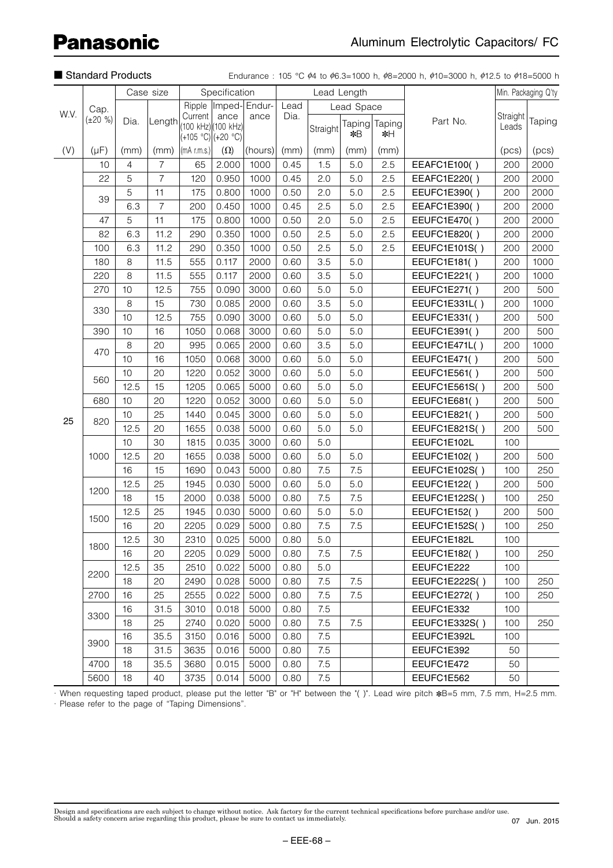|      | Standard Products |                |                |                                                      |               |                       |      |          |             |                     | Endurance: 105 °C $\dot{\phi}$ 4 to $\dot{\phi}$ 6.3=1000 h, $\dot{\phi}$ 8=2000 h, $\dot{\phi}$ 10=3000 h, $\dot{\phi}$ 12.5 to $\dot{\phi}$ 18=5000 h |                   |                     |
|------|-------------------|----------------|----------------|------------------------------------------------------|---------------|-----------------------|------|----------|-------------|---------------------|---------------------------------------------------------------------------------------------------------------------------------------------------------|-------------------|---------------------|
|      |                   |                | Case size      |                                                      | Specification |                       |      |          | Lead Length |                     |                                                                                                                                                         |                   | Min. Packaging Q'ty |
| W.V. | Cap.              |                |                |                                                      |               | Ripple  Imped- Endur- | Lead |          | Lead Space  |                     |                                                                                                                                                         |                   |                     |
|      | $(\pm 20 \%)$     | Dia.           | Length         | Current<br>(100 kHz) (100 kHz)<br>(+105 °C) (+20 °C) | ance          | ance                  | Dia. | Straight | *B          | Taping Taping<br>∗H | Part No.                                                                                                                                                | Straight<br>Leads | Taping              |
| (V)  | $(\mu F)$         | (mm)           | (mm)           | (mA r.m.s.)                                          | $(\Omega)$    | (hours)               | (mm) | (mm)     | (mm)        | (mm)                |                                                                                                                                                         | (pcs)             | (pcs)               |
|      | 10                | $\overline{4}$ | $\overline{7}$ | 65                                                   | 2.000         | 1000                  | 0.45 | 1.5      | 5.0         | 2.5                 | EEAFC1E100()                                                                                                                                            | 200               | 2000                |
|      | 22                | 5              | $\overline{7}$ | 120                                                  | 0.950         | 1000                  | 0.45 | 2.0      | 5.0         | 2.5                 | EEAFC1E220()                                                                                                                                            | 200               | 2000                |
|      | 39                | 5              | 11             | 175                                                  | 0.800         | 1000                  | 0.50 | 2.0      | 5.0         | 2.5                 | EEUFC1E390()                                                                                                                                            | 200               | 2000                |
|      |                   | 6.3            | $\overline{7}$ | 200                                                  | 0.450         | 1000                  | 0.45 | 2.5      | 5.0         | 2.5                 | EEAFC1E390()                                                                                                                                            | 200               | 2000                |
|      | 47                | 5              | 11             | 175                                                  | 0.800         | 1000                  | 0.50 | 2.0      | 5.0         | 2.5                 | EEUFC1E470()                                                                                                                                            | 200               | 2000                |
|      | 82                | 6.3            | 11.2           | 290                                                  | 0.350         | 1000                  | 0.50 | 2.5      | 5.0         | 2.5                 | EEUFC1E820()                                                                                                                                            | 200               | 2000                |
|      | 100               | 6.3            | 11.2           | 290                                                  | 0.350         | 1000                  | 0.50 | 2.5      | 5.0         | 2.5                 | EEUFC1E101S()                                                                                                                                           | 200               | 2000                |
|      | 180               | 8              | 11.5           | 555                                                  | 0.117         | 2000                  | 0.60 | 3.5      | 5.0         |                     | EEUFC1E181()                                                                                                                                            | 200               | 1000                |
|      | 220               | 8              | 11.5           | 555                                                  | 0.117         | 2000                  | 0.60 | 3.5      | 5.0         |                     | EEUFC1E221()                                                                                                                                            | 200               | 1000                |
|      | 270               | 10             | 12.5           | 755                                                  | 0.090         | 3000                  | 0.60 | 5.0      | 5.0         |                     | EEUFC1E271()                                                                                                                                            | 200               | 500                 |
|      | 330               | 8              | 15             | 730                                                  | 0.085         | 2000                  | 0.60 | 3.5      | 5.0         |                     | EEUFC1E331L()                                                                                                                                           | 200               | 1000                |
|      |                   | 10             | 12.5           | 755                                                  | 0.090         | 3000                  | 0.60 | 5.0      | 5.0         |                     | EEUFC1E331()                                                                                                                                            | 200               | 500                 |
|      | 390               | 10             | 16             | 1050                                                 | 0.068         | 3000                  | 0.60 | 5.0      | 5.0         |                     | EEUFC1E391()                                                                                                                                            | 200               | 500                 |
|      | 470               | 8              | 20             | 995                                                  | 0.065         | 2000                  | 0.60 | 3.5      | 5.0         |                     | EEUFC1E471L()                                                                                                                                           | 200               | 1000                |
|      |                   | 10             | 16             | 1050                                                 | 0.068         | 3000                  | 0.60 | 5.0      | 5.0         |                     | EEUFC1E471()                                                                                                                                            | 200               | 500                 |
|      | 560               | 10             | 20             | 1220                                                 | 0.052         | 3000                  | 0.60 | 5.0      | 5.0         |                     | EEUFC1E561()                                                                                                                                            | 200               | 500                 |
|      |                   | 12.5           | 15             | 1205                                                 | 0.065         | 5000                  | 0.60 | 5.0      | 5.0         |                     | EEUFC1E561S()                                                                                                                                           | 200               | 500                 |
|      | 680               | 10             | 20             | 1220                                                 | 0.052         | 3000                  | 0.60 | 5.0      | 5.0         |                     | EEUFC1E681()                                                                                                                                            | 200               | 500                 |
| 25   | 820               | 10             | 25             | 1440                                                 | 0.045         | 3000                  | 0.60 | 5.0      | 5.0         |                     | EEUFC1E821()                                                                                                                                            | 200               | 500                 |
|      |                   | 12.5           | 20             | 1655                                                 | 0.038         | 5000                  | 0.60 | 5.0      | 5.0         |                     | EEUFC1E821S()                                                                                                                                           | 200               | 500                 |
|      |                   | 10             | 30             | 1815                                                 | 0.035         | 3000                  | 0.60 | 5.0      |             |                     | EEUFC1E102L                                                                                                                                             | 100               |                     |
|      | 1000              | 12.5           | 20             | 1655                                                 | 0.038         | 5000                  | 0.60 | 5.0      | 5.0         |                     | EEUFC1E102()                                                                                                                                            | 200               | 500                 |
|      |                   | 16             | 15             | 1690                                                 | 0.043         | 5000                  | 0.80 | 7.5      | 7.5         |                     | EEUFC1E102S()                                                                                                                                           | 100               | 250                 |
|      | 1200              | 12.5           | 25             | 1945                                                 | 0.030         | 5000                  | 0.60 | 5.0      | 5.0         |                     | EEUFC1E122()                                                                                                                                            | 200               | 500                 |
|      |                   | 18             | 15             | 2000                                                 | 0.038         | 5000                  | 0.80 | 7.5      | 7.5         |                     | EEUFC1E122S()                                                                                                                                           | 100               | 250                 |
|      | 1500              | 12.5           | 25             | 1945                                                 | 0.030         | 5000                  | 0.60 | 5.0      | 5.0         |                     | EEUFC1E152()                                                                                                                                            | 200               | 500                 |
|      |                   | 16             | 20             | 2205                                                 | 0.029         | 5000                  | 0.80 | 7.5      | 7.5         |                     | EEUFC1E152S()                                                                                                                                           | 100               | 250                 |
|      | 1800              | 12.5           | 30             | 2310                                                 | 0.025         | 5000                  | 0.80 | 5.0      |             |                     | EEUFC1E182L                                                                                                                                             | 100               |                     |
|      |                   | 16             | 20             | 2205                                                 | 0.029         | 5000                  | 0.80 | 7.5      | 7.5         |                     | EEUFC1E182()                                                                                                                                            | 100               | 250                 |
|      | 2200              | 12.5           | 35             | 2510                                                 | 0.022         | 5000                  | 0.80 | 5.0      |             |                     | EEUFC1E222                                                                                                                                              | 100               |                     |
|      |                   | 18             | 20             | 2490                                                 | 0.028         | 5000                  | 0.80 | 7.5      | 7.5         |                     | EEUFC1E222S()                                                                                                                                           | 100               | 250                 |
|      | 2700              | 16             | 25             | 2555                                                 | 0.022         | 5000                  | 0.80 | 7.5      | 7.5         |                     | EEUFC1E272()                                                                                                                                            | 100               | 250                 |
|      | 3300              | 16             | 31.5           | 3010                                                 | 0.018         | 5000                  | 0.80 | 7.5      |             |                     | EEUFC1E332                                                                                                                                              | 100               |                     |
|      |                   | 18             | 25             | 2740                                                 | 0.020         | 5000                  | 0.80 | 7.5      | 7.5         |                     | EEUFC1E332S()                                                                                                                                           | 100               | 250                 |
|      |                   | 16             | 35.5           | 3150                                                 | 0.016         | 5000                  | 0.80 | 7.5      |             |                     | EEUFC1E392L                                                                                                                                             | 100               |                     |
|      | 3900              | 18             | 31.5           | 3635                                                 | 0.016         | 5000                  | 0.80 | 7.5      |             |                     | EEUFC1E392                                                                                                                                              | 50                |                     |
|      | 4700              | 18             | 35.5           | 3680                                                 | 0.015         | 5000                  | 0.80 | 7.5      |             |                     | EEUFC1E472                                                                                                                                              | 50                |                     |
|      | 5600              | 18             | 40             | 3735                                                 | 0.014         | 5000                  | 0.80 | 7.5      |             |                     | EEUFC1E562                                                                                                                                              | 50                |                     |

· When requesting taped product, please put the letter "B" or "H" between the "( )". Lead wire pitch \*B=5 mm, 7.5 mm, H=2.5 mm. · Please refer to the page of "Taping Dimensions".

Design and specifications are each subject to change without notice. Ask factory for the current technical specifications before purchase and/or use.<br>Should a safety concern arise regarding this product, please be sure to 07 Jun. 2015

– EEE-68 –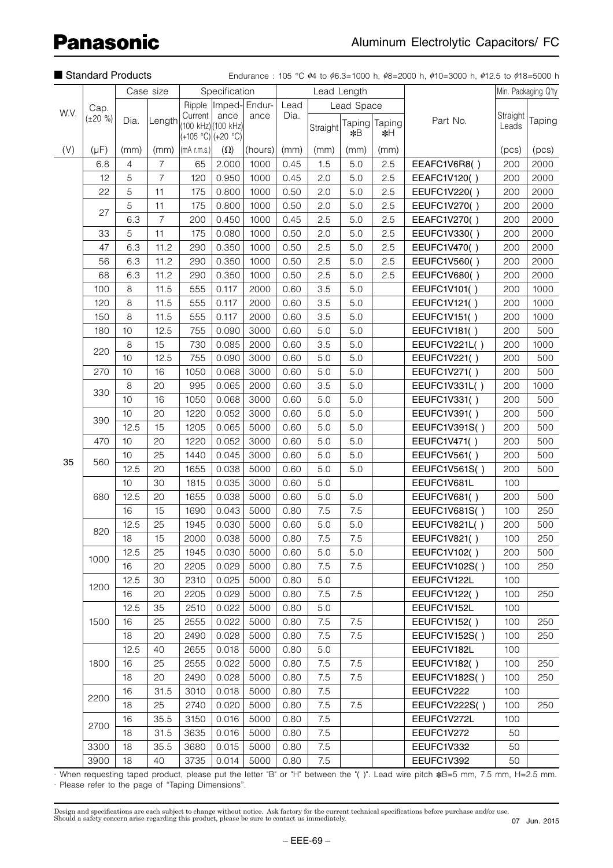|      | Standard Products<br>Case size |         |                |                                                       |               |                       |      |             |               |              | Endurance: 105 °C $\phi$ 4 to $\phi$ 6.3=1000 h, $\phi$ 8=2000 h, $\phi$ 10=3000 h, $\phi$ 12.5 to $\phi$ 18=5000 h |                   |                     |
|------|--------------------------------|---------|----------------|-------------------------------------------------------|---------------|-----------------------|------|-------------|---------------|--------------|---------------------------------------------------------------------------------------------------------------------|-------------------|---------------------|
|      |                                |         |                |                                                       | Specification |                       |      | Lead Length |               |              |                                                                                                                     |                   | Min. Packaging Q'ty |
|      | Cap.                           |         |                |                                                       |               | Ripple  Imped- Endur- | Lead |             | Lead Space    |              |                                                                                                                     |                   |                     |
| W.V. | $(\pm 20 \%)$                  | Dia.    | Length         | Current<br>(100 kHz) (100 kHz)<br>$(+105 °C)(+20 °C)$ | ance          | ance                  | Dia. | Straight    | Taping<br>∗¥B | Taping<br>∗∺ | Part No.                                                                                                            | Straight<br>Leads | Taping              |
| (V)  | $(\mu F)$                      | (mm)    | (mm)           | $\vert$ (mA r.m.s.) $\vert$                           | $(\Omega)$    | (hours)               | (mm) | (mm)        | (mm)          | (mm)         |                                                                                                                     | (pcs)             | (pcs)               |
|      | 6.8                            | 4       | $\overline{7}$ | 65                                                    | 2.000         | 1000                  | 0.45 | 1.5         | 5.0           | 2.5          | EEAFC1V6R8()                                                                                                        | 200               | 2000                |
|      | 12                             | 5       | $\overline{7}$ | 120                                                   | 0.950         | 1000                  | 0.45 | 2.0         | 5.0           | 2.5          | EEAFC1V120()                                                                                                        | 200               | 2000                |
|      | 22                             | 5       | 11             | 175                                                   | 0.800         | 1000                  | 0.50 | 2.0         | 5.0           | 2.5          | EEUFC1V220()                                                                                                        | 200               | 2000                |
|      |                                | 5       | 11             | 175                                                   | 0.800         | 1000                  | 0.50 | 2.0         | 5.0           | 2.5          | EEUFC1V270()                                                                                                        | 200               | 2000                |
|      | 27                             | 6.3     | $\overline{7}$ | 200                                                   | 0.450         | 1000                  | 0.45 | 2.5         | 5.0           | 2.5          | EEAFC1V270()                                                                                                        | 200               | 2000                |
|      | 33                             | 5       | 11             | 175                                                   | 0.080         | 1000                  | 0.50 | 2.0         | 5.0           | 2.5          | EEUFC1V330()                                                                                                        | 200               | 2000                |
|      | 47                             | 6.3     | 11.2           | 290                                                   | 0.350         | 1000                  | 0.50 | 2.5         | 5.0           | 2.5          | EEUFC1V470()                                                                                                        | 200               | 2000                |
|      | 56                             | 6.3     | 11.2           | 290                                                   | 0.350         | 1000                  | 0.50 | 2.5         | 5.0           | 2.5          | EEUFC1V560()                                                                                                        | 200               | 2000                |
|      | 68                             | 6.3     | 11.2           | 290                                                   | 0.350         | 1000                  | 0.50 | 2.5         | 5.0           | 2.5          | EEUFC1V680()                                                                                                        | 200               | 2000                |
|      | 100                            | 8       | 11.5           | 555                                                   | 0.117         | 2000                  | 0.60 | 3.5         | 5.0           |              | EEUFC1V101()                                                                                                        | 200               | 1000                |
|      | 120                            | 8       | 11.5           | 555                                                   | 0.117         | 2000                  | 0.60 | 3.5         | 5.0           |              | EEUFC1V121()                                                                                                        | 200               | 1000                |
|      | 150                            | 8       | 11.5           | 555                                                   | 0.117         | 2000                  | 0.60 | 3.5         | 5.0           |              | EEUFC1V151()                                                                                                        | 200               | 1000                |
|      | 180                            | 10      | 12.5           | 755                                                   | 0.090         | 3000                  | 0.60 | 5.0         | 5.0           |              | EEUFC1V181()                                                                                                        | 200               | 500                 |
|      |                                | $\,8\,$ | 15             | 730                                                   | 0.085         | 2000                  | 0.60 | 3.5         | 5.0           |              | EEUFC1V221L()                                                                                                       | 200               | 1000                |
|      | 220                            | 10      | 12.5           | 755                                                   | 0.090         | 3000                  | 0.60 | 5.0         | 5.0           |              | EEUFC1V221()                                                                                                        | 200               | 500                 |
|      | 270                            | 10      | 16             | 1050                                                  | 0.068         | 3000                  | 0.60 | 5.0         | 5.0           |              | EEUFC1V271()                                                                                                        | 200               | 500                 |
|      |                                | 8       | 20             | 995                                                   | 0.065         | 2000                  | 0.60 | 3.5         | 5.0           |              | EEUFC1V331L()                                                                                                       | 200               | 1000                |
|      | 330                            | 10      | 16             | 1050                                                  | 0.068         | 3000                  | 0.60 | 5.0         | 5.0           |              | EEUFC1V331()                                                                                                        | 200               | 500                 |
|      |                                | 10      | 20             | 1220                                                  | 0.052         | 3000                  | 0.60 | 5.0         | $5.0$         |              | EEUFC1V391()                                                                                                        | 200               | 500                 |
|      | 390                            | 12.5    | 15             | 1205                                                  | 0.065         | 5000                  | 0.60 | 5.0         | 5.0           |              | EEUFC1V391S()                                                                                                       | 200               | 500                 |
|      | 470                            | 10      | 20             | 1220                                                  | 0.052         | 3000                  | 0.60 | 5.0         | 5.0           |              | EEUFC1V471()                                                                                                        | 200               | 500                 |
|      |                                | 10      | 25             | 1440                                                  | 0.045         | 3000                  | 0.60 | 5.0         | 5.0           |              | EEUFC1V561()                                                                                                        | 200               | 500                 |
| 35   | 560                            | 12.5    | 20             | 1655                                                  | 0.038         | 5000                  | 0.60 | 5.0         | 5.0           |              | EEUFC1V561S()                                                                                                       | 200               | 500                 |
|      |                                | 10      | 30             | 1815                                                  | 0.035         | 3000                  | 0.60 | 5.0         |               |              | EEUFC1V681L                                                                                                         | 100               |                     |
|      | 680                            | 12.5    | 20             | 1655                                                  | 0.038         | 5000                  | 0.60 | 5.0         | 5.0           |              | EEUFC1V681()                                                                                                        | 200               | 500                 |
|      |                                | 16      | 15             | 1690                                                  | 0.043         | 5000                  | 0.80 | 7.5         | 7.5           |              | EEUFC1V681S()                                                                                                       | 100               | 250                 |
|      | 820                            | 12.5    | 25             | 1945                                                  | 0.030         | 5000                  | 0.60 | 5.0         | 5.0           |              | EEUFC1V821L()                                                                                                       | 200               | 500                 |
|      |                                | 18      | 15             | 2000                                                  | 0.038         | 5000                  | 0.80 | 7.5         | 7.5           |              | EEUFC1V821()                                                                                                        | 100               | 250                 |
|      | 1000                           | 12.5    | 25             | 1945                                                  | 0.030         | 5000                  | 0.60 | 5.0         | 5.0           |              | EEUFC1V102()                                                                                                        | 200               | 500                 |
|      |                                | 16      | 20             | 2205                                                  | 0.029         | 5000                  | 0.80 | 7.5         | 7.5           |              | EEUFC1V102S()                                                                                                       | 100               | 250                 |
|      | 1200                           | 12.5    | 30             | 2310                                                  | 0.025         | 5000                  | 0.80 | 5.0         |               |              | EEUFC1V122L                                                                                                         | 100               |                     |
|      |                                | 16      | 20             | 2205                                                  | 0.029         | 5000                  | 0.80 | 7.5         | 7.5           |              | EEUFC1V122()                                                                                                        | 100               | 250                 |
|      |                                | 12.5    | 35             | 2510                                                  | 0.022         | 5000                  | 0.80 | 5.0         |               |              | EEUFC1V152L                                                                                                         | 100               |                     |
|      | 1500                           | 16      | 25             | 2555                                                  | 0.022         | 5000                  | 0.80 | 7.5         | 7.5           |              | EEUFC1V152()                                                                                                        | 100               | 250                 |
|      |                                | 18      | 20             | 2490                                                  | 0.028         | 5000                  | 0.80 | 7.5         | 7.5           |              | EEUFC1V152S()                                                                                                       | 100               | 250                 |
|      |                                | 12.5    | 40             | 2655                                                  | 0.018         | 5000                  | 0.80 | 5.0         |               |              | EEUFC1V182L                                                                                                         | 100               |                     |
|      | 1800                           | 16      | 25             | 2555                                                  | 0.022         | 5000                  | 0.80 | 7.5         | 7.5           |              | EEUFC1V182()                                                                                                        | 100               | 250                 |
|      |                                | 18      | 20             | 2490                                                  | 0.028         | 5000                  | 0.80 | 7.5         | 7.5           |              | EEUFC1V182S()                                                                                                       | 100               | 250                 |
|      | 2200                           | 16      | 31.5           | 3010                                                  | 0.018         | 5000                  | 0.80 | 7.5         |               |              | EEUFC1V222                                                                                                          | 100               |                     |
|      |                                | 18      | 25             | 2740                                                  | 0.020         | 5000                  | 0.80 | 7.5         | 7.5           |              | EEUFC1V222S()                                                                                                       | 100               | 250                 |
|      | 2700                           | 16      | 35.5           | 3150                                                  | 0.016         | 5000                  | 0.80 | 7.5         |               |              | EEUFC1V272L                                                                                                         | 100               |                     |
|      |                                | 18      | 31.5           | 3635                                                  | 0.016         | 5000                  | 0.80 | 7.5         |               |              | EEUFC1V272                                                                                                          | 50                |                     |
|      | 3300                           | 18      | 35.5           | 3680                                                  | 0.015         | 5000                  | 0.80 | 7.5         |               |              | EEUFC1V332                                                                                                          | 50                |                     |
|      | 3900                           | 18      | 40             | 3735                                                  | 0.014         | 5000                  | 0.80 | 7.5         |               |              | EEUFC1V392                                                                                                          | 50                |                     |

· When requesting taped product, please put the letter "B" or "H" between the "( )". Lead wire pitch  $*B=5$  mm, 7.5 mm, H=2.5 mm.

· Please refer to the page of "Taping Dimensions".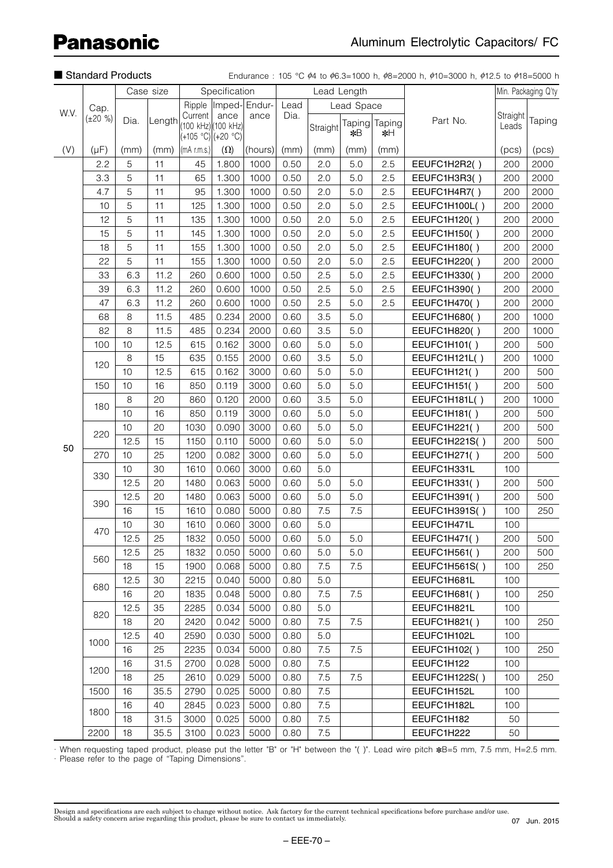|      | Standard Products<br>Case size |      |        |                               |                             |                       |      |          |               |              | Endurance: 105 °C $\dot{\phi}$ 4 to $\dot{\phi}$ 6.3=1000 h, $\dot{\phi}$ 8=2000 h, $\dot{\phi}$ 10=3000 h, $\dot{\phi}$ 12.5 to $\dot{\phi}$ 18=5000 h |                   |                     |
|------|--------------------------------|------|--------|-------------------------------|-----------------------------|-----------------------|------|----------|---------------|--------------|---------------------------------------------------------------------------------------------------------------------------------------------------------|-------------------|---------------------|
|      |                                |      |        |                               | Specification               |                       |      |          | Lead Length   |              |                                                                                                                                                         |                   | Min. Packaging Q'ty |
|      | Cap.                           |      |        |                               |                             | Ripple  Imped- Endur- | Lead |          | Lead Space    |              |                                                                                                                                                         |                   |                     |
| W.V. | $(\pm 20 \%)$                  | Dia. | Length | Current<br>(+105 °C) (+20 °C) | ance<br>(100 kHz) (100 kHz) | ance                  | Dia. | Straight | Taping<br>∗¥B | Taping<br>∗∺ | Part No.                                                                                                                                                | Straight<br>Leads | Taping              |
| (V)  | $(\mu F)$                      | (mm) | (mm)   | $ (mA$ r.m.s. $) $            | $(\Omega)$                  | (hours)               | (mm) | (mm)     | (mm)          | (mm)         |                                                                                                                                                         | (pcs)             | (pcs)               |
|      | 2.2                            | 5    | 11     | 45                            | 1.800                       | 1000                  | 0.50 | 2.0      | 5.0           | 2.5          | EEUFC1H2R2()                                                                                                                                            | 200               | 2000                |
|      | 3.3                            | 5    | 11     | 65                            | 1.300                       | 1000                  | 0.50 | 2.0      | 5.0           | 2.5          | EEUFC1H3R3()                                                                                                                                            | 200               | 2000                |
|      | 4.7                            | 5    | 11     | 95                            | 1.300                       | 1000                  | 0.50 | 2.0      | 5.0           | 2.5          | EEUFC1H4R7()                                                                                                                                            | 200               | 2000                |
|      | 10                             | 5    | 11     | 125                           | 1.300                       | 1000                  | 0.50 | 2.0      | 5.0           | 2.5          | EEUFC1H100L()                                                                                                                                           | 200               | 2000                |
|      | 12                             | 5    | 11     | 135                           | 1.300                       | 1000                  | 0.50 | 2.0      | 5.0           | 2.5          | EEUFC1H120()                                                                                                                                            | 200               | 2000                |
|      | 15                             | 5    | 11     | 145                           | 1.300                       | 1000                  | 0.50 | 2.0      | 5.0           | 2.5          | EEUFC1H150()                                                                                                                                            | 200               | 2000                |
|      | 18                             | 5    | 11     | 155                           | 1.300                       | 1000                  | 0.50 | 2.0      | 5.0           | 2.5          | EEUFC1H180()                                                                                                                                            | 200               | 2000                |
|      | 22                             | 5    | 11     | 155                           | 1.300                       | 1000                  | 0.50 | 2.0      | 5.0           | 2.5          | EEUFC1H220()                                                                                                                                            | 200               | 2000                |
|      | 33                             | 6.3  | 11.2   | 260                           | 0.600                       | 1000                  | 0.50 | 2.5      | 5.0           | 2.5          | EEUFC1H330()                                                                                                                                            | 200               | 2000                |
|      | 39                             | 6.3  | 11.2   | 260                           | 0.600                       | 1000                  | 0.50 | 2.5      | 5.0           | 2.5          | EEUFC1H390()                                                                                                                                            | 200               | 2000                |
|      | 47                             | 6.3  | 11.2   | 260                           | 0.600                       | 1000                  | 0.50 | 2.5      | 5.0           | 2.5          | EEUFC1H470()                                                                                                                                            | 200               | 2000                |
|      | 68                             | 8    | 11.5   | 485                           | 0.234                       | 2000                  | 0.60 | 3.5      | 5.0           |              | EEUFC1H680()                                                                                                                                            | 200               | 1000                |
|      | 82                             | 8    | 11.5   | 485                           | 0.234                       | 2000                  | 0.60 | 3.5      | 5.0           |              | EEUFC1H820()                                                                                                                                            | 200               | 1000                |
|      | 100                            | 10   | 12.5   | 615                           | 0.162                       | 3000                  | 0.60 | 5.0      | 5.0           |              | EEUFC1H101()                                                                                                                                            | 200               | 500                 |
|      |                                | 8    | 15     | 635                           | 0.155                       | 2000                  | 0.60 | 3.5      | 5.0           |              | EEUFC1H121L()                                                                                                                                           | 200               | 1000                |
|      | 120                            | 10   | 12.5   | 615                           | 0.162                       | 3000                  | 0.60 | 5.0      | 5.0           |              | EEUFC1H121()                                                                                                                                            | 200               | 500                 |
|      | 150                            | 10   | 16     | 850                           | 0.119                       | 3000                  | 0.60 | 5.0      | 5.0           |              | EEUFC1H151()                                                                                                                                            | 200               | 500                 |
|      |                                | 8    | 20     | 860                           | 0.120                       | 2000                  | 0.60 | 3.5      | 5.0           |              | EEUFC1H181L()                                                                                                                                           | 200               | 1000                |
|      | 180                            | 10   | 16     | 850                           | 0.119                       | 3000                  | 0.60 | 5.0      | $5.0\,$       |              | EEUFC1H181()                                                                                                                                            | 200               | 500                 |
| 50   |                                | 10   | 20     | 1030                          | 0.090                       | 3000                  | 0.60 | 5.0      | 5.0           |              | EEUFC1H221()                                                                                                                                            | 200               | 500                 |
|      | 220                            | 12.5 | 15     | 1150                          | 0.110                       | 5000                  | 0.60 | 5.0      | 5.0           |              | EEUFC1H221S()                                                                                                                                           | 200               | 500                 |
|      | 270                            | 10   | 25     | 1200                          | 0.082                       | 3000                  | 0.60 | 5.0      | 5.0           |              | EEUFC1H271()                                                                                                                                            | 200               | 500                 |
|      |                                | 10   | 30     | 1610                          | 0.060                       | 3000                  | 0.60 | 5.0      |               |              | EEUFC1H331L                                                                                                                                             | 100               |                     |
|      | 330                            | 12.5 | 20     | 1480                          | 0.063                       | 5000                  | 0.60 | 5.0      | 5.0           |              | EEUFC1H331()                                                                                                                                            | 200               | 500                 |
|      | 390                            | 12.5 | 20     | 1480                          | 0.063                       | 5000                  | 0.60 | 5.0      | 5.0           |              | EEUFC1H391()                                                                                                                                            | 200               | 500                 |
|      |                                | 16   | 15     | 1610                          | 0.080                       | 5000                  | 0.80 | 7.5      | 7.5           |              | EEUFC1H391S()                                                                                                                                           | 100               | 250                 |
|      |                                | 10   | 30     | 1610                          | 0.060                       | 3000                  | 0.60 | 5.0      |               |              | EEUFC1H471L                                                                                                                                             | 100               |                     |
|      | 470                            | 12.5 | 25     | 1832                          | 0.050                       | 5000                  | 0.60 | 5.0      | 5.0           |              | EEUFC1H471()                                                                                                                                            | 200               | 500                 |
|      |                                | 12.5 | 25     | 1832                          | 0.050                       | 5000                  | 0.60 | 5.0      | 5.0           |              | EEUFC1H561()                                                                                                                                            | 200               | 500                 |
|      | 560                            | 18   | 15     | 1900                          | 0.068                       | 5000                  | 0.80 | 7.5      | 7.5           |              | EEUFC1H561S()                                                                                                                                           | 100               | 250                 |
|      |                                | 12.5 | 30     | 2215                          | 0.040                       | 5000                  | 0.80 | 5.0      |               |              | EEUFC1H681L                                                                                                                                             | 100               |                     |
|      | 680                            | 16   | 20     | 1835                          | 0.048                       | 5000                  | 0.80 | 7.5      | 7.5           |              | <b>EEUFC1H681()</b>                                                                                                                                     | 100               | 250                 |
|      |                                | 12.5 | 35     | 2285                          | 0.034                       | 5000                  | 0.80 | 5.0      |               |              | EEUFC1H821L                                                                                                                                             | 100               |                     |
|      | 820                            | 18   | 20     | 2420                          | 0.042                       | 5000                  | 0.80 | 7.5      | 7.5           |              | EEUFC1H821()                                                                                                                                            | 100               | 250                 |
|      |                                | 12.5 | 40     | 2590                          | 0.030                       | 5000                  | 0.80 | 5.0      |               |              | EEUFC1H102L                                                                                                                                             | 100               |                     |
|      | 1000                           | 16   | 25     | 2235                          | 0.034                       | 5000                  | 0.80 | 7.5      | 7.5           |              | EEUFC1H102()                                                                                                                                            | 100               | 250                 |
|      |                                | 16   | 31.5   | 2700                          | 0.028                       | 5000                  | 0.80 | 7.5      |               |              | EEUFC1H122                                                                                                                                              | 100               |                     |
|      | 1200                           | 18   | 25     | 2610                          | 0.029                       | 5000                  | 0.80 | 7.5      | 7.5           |              | EEUFC1H122S()                                                                                                                                           | 100               | 250                 |
|      | 1500                           | 16   | 35.5   | 2790                          | 0.025                       | 5000                  | 0.80 | 7.5      |               |              | EEUFC1H152L                                                                                                                                             | 100               |                     |
|      |                                | 16   | 40     | 2845                          | 0.023                       | 5000                  | 0.80 | 7.5      |               |              | EEUFC1H182L                                                                                                                                             | 100               |                     |
|      | 1800                           | 18   | 31.5   | 3000                          | 0.025                       | 5000                  | 0.80 | 7.5      |               |              | EEUFC1H182                                                                                                                                              | 50                |                     |
|      | 2200                           | 18   | 35.5   | 3100                          | 0.023                       | 5000                  | 0.80 | 7.5      |               |              | EEUFC1H222                                                                                                                                              | 50                |                     |

· When requesting taped product, please put the letter "B" or "H" between the "( )". Lead wire pitch ∗B=5 mm, 7.5 mm, H=2.5 mm. · Please refer to the page of "Taping Dimensions".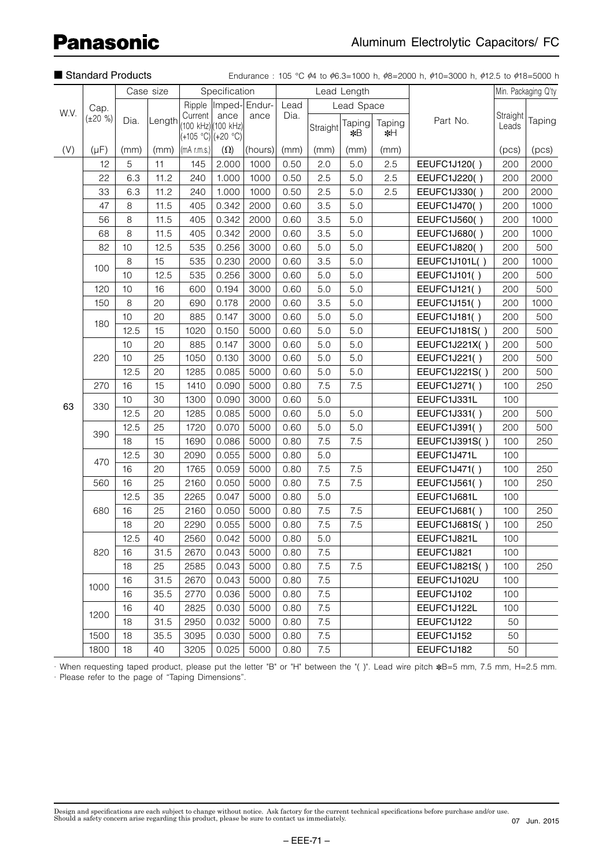|      | i vianuaru i ruuutio |      |           |                                       |                     |                       |      |          |              |              | Liquidrice. To $\sqrt{94}$ to $\sqrt{90.3}$ Tooo II, $\sqrt{90}$ Zooo II, $\sqrt{90}$ To $\sqrt{90}$ II, $\sqrt{912.3}$ to $\sqrt{910}$ To |                   |                     |
|------|----------------------|------|-----------|---------------------------------------|---------------------|-----------------------|------|----------|--------------|--------------|--------------------------------------------------------------------------------------------------------------------------------------------|-------------------|---------------------|
|      |                      |      | Case size |                                       | Specification       |                       |      |          | Lead Length  |              |                                                                                                                                            |                   | Min. Packaging Q'ty |
| W.V. | Cap.                 |      |           |                                       |                     | Ripple  Imped- Endur- | Lead |          | Lead Space   |              |                                                                                                                                            |                   |                     |
|      | $(\pm 20 \%)$        | Dia. | Length    | Current   ance<br>$(+105 °C)(+20 °C)$ | (100 kHz) (100 kHz) | ance                  | Dia. | Straight | Taping<br>*B | Taping<br>∗H | Part No.                                                                                                                                   | Straight<br>Leads | Taping              |
| (V)  | $(\mu F)$            | (mm) | (mm)      | $(mA$ r.m.s.)                         | $(\Omega)$          | (hours)               | (mm) | (mm)     | (mm)         | (mm)         |                                                                                                                                            | (pcs)             | (pcs)               |
|      | 12                   | 5    | 11        | 145                                   | 2.000               | 1000                  | 0.50 | 2.0      | 5.0          | 2.5          | EEUFC1J120()                                                                                                                               | 200               | 2000                |
|      | 22                   | 6.3  | 11.2      | 240                                   | 1.000               | 1000                  | 0.50 | 2.5      | 5.0          | 2.5          | EEUFC1J220()                                                                                                                               | 200               | 2000                |
|      | 33                   | 6.3  | 11.2      | 240                                   | 1.000               | 1000                  | 0.50 | 2.5      | 5.0          | 2.5          | EEUFC1J330()                                                                                                                               | 200               | 2000                |
|      | 47                   | 8    | 11.5      | 405                                   | 0.342               | 2000                  | 0.60 | 3.5      | 5.0          |              | EEUFC1J470()                                                                                                                               | 200               | 1000                |
|      | 56                   | 8    | 11.5      | 405                                   | 0.342               | 2000                  | 0.60 | 3.5      | 5.0          |              | EEUFC1J560()                                                                                                                               | 200               | 1000                |
|      | 68                   | 8    | 11.5      | 405                                   | 0.342               | 2000                  | 0.60 | 3.5      | 5.0          |              | EEUFC1J680()                                                                                                                               | 200               | 1000                |
|      | 82                   | 10   | 12.5      | 535                                   | 0.256               | 3000                  | 0.60 | 5.0      | 5.0          |              | EEUFC1J820()                                                                                                                               | 200               | 500                 |
|      | 100                  | 8    | 15        | 535                                   | 0.230               | 2000                  | 0.60 | 3.5      | 5.0          |              | EEUFC1J101L()                                                                                                                              | 200               | 1000                |
|      |                      | 10   | 12.5      | 535                                   | 0.256               | 3000                  | 0.60 | 5.0      | 5.0          |              | EEUFC1J101()                                                                                                                               | 200               | 500                 |
|      | 120                  | 10   | 16        | 600                                   | 0.194               | 3000                  | 0.60 | 5.0      | 5.0          |              | EEUFC1J121()                                                                                                                               | 200               | 500                 |
|      | 150                  | 8    | 20        | 690                                   | 0.178               | 2000                  | 0.60 | 3.5      | 5.0          |              | EEUFC1J151()                                                                                                                               | 200               | 1000                |
|      | 180                  | 10   | 20        | 885                                   | 0.147               | 3000                  | 0.60 | 5.0      | 5.0          |              | EEUFC1J181()                                                                                                                               | 200               | 500                 |
|      |                      | 12.5 | 15        | 1020                                  | 0.150               | 5000                  | 0.60 | 5.0      | 5.0          |              | EEUFC1J181S()                                                                                                                              | 200               | 500                 |
|      |                      | 10   | 20        | 885                                   | 0.147               | 3000                  | 0.60 | 5.0      | 5.0          |              | EEUFC1J221X()                                                                                                                              | 200               | 500                 |
|      | 220                  | 10   | 25        | 1050                                  | 0.130               | 3000                  | 0.60 | 5.0      | 5.0          |              | EEUFC1J221()                                                                                                                               | 200               | 500                 |
|      |                      | 12.5 | 20        | 1285                                  | 0.085               | 5000                  | 0.60 | 5.0      | 5.0          |              | EEUFC1J221S()                                                                                                                              | 200               | 500                 |
|      | 270                  | 16   | 15        | 1410                                  | 0.090               | 5000                  | 0.80 | 7.5      | 7.5          |              | EEUFC1J271()                                                                                                                               | 100               | 250                 |
| 63   |                      | 10   | 30        | 1300                                  | 0.090               | 3000                  | 0.60 | 5.0      |              |              | EEUFC1J331L                                                                                                                                | 100               |                     |
|      | 330                  | 12.5 | 20        | 1285                                  | 0.085               | 5000                  | 0.60 | 5.0      | 5.0          |              | EEUFC1J331()                                                                                                                               | 200               | 500                 |
|      | 390                  | 12.5 | 25        | 1720                                  | 0.070               | 5000                  | 0.60 | 5.0      | 5.0          |              | EEUFC1J391()                                                                                                                               | 200               | 500                 |
|      |                      | 18   | 15        | 1690                                  | 0.086               | 5000                  | 0.80 | 7.5      | 7.5          |              | EEUFC1J391S()                                                                                                                              | 100               | 250                 |
|      | 470                  | 12.5 | 30        | 2090                                  | 0.055               | 5000                  | 0.80 | 5.0      |              |              | EEUFC1J471L                                                                                                                                | 100               |                     |
|      |                      | 16   | 20        | 1765                                  | 0.059               | 5000                  | 0.80 | 7.5      | 7.5          |              | EEUFC1J471()                                                                                                                               | 100               | 250                 |
|      | 560                  | 16   | 25        | 2160                                  | 0.050               | 5000                  | 0.80 | 7.5      | 7.5          |              | EEUFC1J561()                                                                                                                               | 100               | 250                 |
|      |                      | 12.5 | 35        | 2265                                  | 0.047               | 5000                  | 0.80 | 5.0      |              |              | EEUFC1J681L                                                                                                                                | 100               |                     |
|      | 680                  | 16   | 25        | 2160                                  | 0.050               | 5000                  | 0.80 | 7.5      | 7.5          |              | EEUFC1J681()                                                                                                                               | 100               | 250                 |
|      |                      | 18   | 20        | 2290                                  | 0.055               | 5000                  | 0.80 | 7.5      | 7.5          |              | <b>EEUFC1J681S()</b>                                                                                                                       | 100               | 250                 |
|      |                      | 12.5 | 40        | 2560                                  | 0.042               | 5000                  | 0.80 | 5.0      |              |              | EEUFC1J821L                                                                                                                                | 100               |                     |
|      | 820                  | 16   | 31.5      | 2670                                  | 0.043               | 5000                  | 0.80 | 7.5      |              |              | EEUFC1J821                                                                                                                                 | 100               |                     |
|      |                      | 18   | 25        | 2585                                  | 0.043               | 5000                  | 0.80 | 7.5      | 7.5          |              | EEUFC1J821S()                                                                                                                              | 100               | 250                 |
|      | 1000                 | 16   | 31.5      | 2670                                  | 0.043               | 5000                  | 0.80 | 7.5      |              |              | EEUFC1J102U                                                                                                                                | 100               |                     |
|      |                      | 16   | 35.5      | 2770                                  | 0.036               | 5000                  | 0.80 | 7.5      |              |              | EEUFC1J102                                                                                                                                 | 100               |                     |
|      | 1200                 | 16   | 40        | 2825                                  | 0.030               | 5000                  | 0.80 | 7.5      |              |              | EEUFC1J122L                                                                                                                                | 100               |                     |
|      |                      | 18   | 31.5      | 2950                                  | 0.032               | 5000                  | 0.80 | 7.5      |              |              | EEUFC1J122                                                                                                                                 | 50                |                     |
|      | 1500                 | 18   | 35.5      | 3095                                  | 0.030               | 5000                  | 0.80 | 7.5      |              |              | EEUFC1J152                                                                                                                                 | 50                |                     |
|      | 1800                 | 18   | 40        | 3205                                  | 0.025               | 5000                  | 0.80 | 7.5      |              |              | EEUFC1J182                                                                                                                                 | 50                |                     |

■ Standard Products Endurance : 105 °C  $\phi$ 4 to  $\phi$ 6.3-1000 h,  $\phi$ 8-2000 h,  $\phi$ 10-3000 h,  $\phi$ 12.5 to  $\phi$ 18-5000 h

· When requesting taped product, please put the letter "B" or "H" between the "( )". Lead wire pitch ∗B=5 mm, 7.5 mm, H=2.5 mm. · Please refer to the page of "Taping Dimensions".